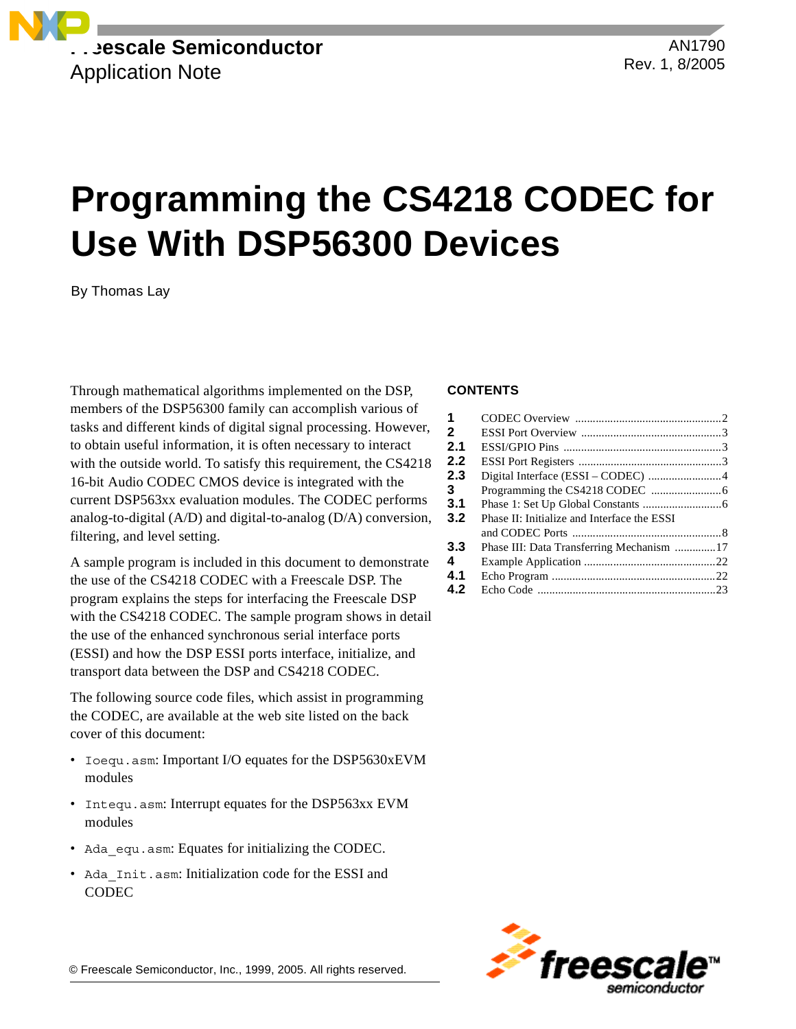

AN1790 Rev. 1, 8/2005

# **Programming the CS4218 CODEC for Use With DSP56300 Devices**

By Thomas Lay

Through mathematical algorithms implemented on the DSP, members of the DSP56300 family can accomplish various of tasks and different kinds of digital signal processing. However, to obtain useful information, it is often necessary to interact with the outside world. To satisfy this requirement, the CS4218 16-bit Audio CODEC CMOS device is integrated with the current DSP563xx evaluation modules. The CODEC performs analog-to-digital (A/D) and digital-to-analog (D/A) conversion, filtering, and level setting.

A sample program is included in this document to demonstrate the use of the CS4218 CODEC with a Freescale DSP. The program explains the steps for interfacing the Freescale DSP with the CS4218 CODEC. The sample program shows in detail the use of the enhanced synchronous serial interface ports (ESSI) and how the DSP ESSI ports interface, initialize, and transport data between the DSP and CS4218 CODEC.

The following source code files, which assist in programming the CODEC, are available at the web site listed on the back cover of this document:

- Ioequ.asm: Important I/O equates for the DSP5630xEVM modules
- Intequ.asm: Interrupt equates for the DSP563xx EVM modules
- Ada equ.asm: Equates for initializing the CODEC.
- Ada\_Init.asm: Initialization code for the ESSI and **CODEC**

### **CONTENTS**

| 1            |                                             |  |
|--------------|---------------------------------------------|--|
| $\mathbf{2}$ |                                             |  |
| 2.1          |                                             |  |
| 2.2          |                                             |  |
| 2.3          |                                             |  |
| 3            |                                             |  |
| 3.1          |                                             |  |
| 3.2          | Phase II: Initialize and Interface the ESSI |  |
|              |                                             |  |
| 3.3          | Phase III: Data Transferring Mechanism 17   |  |
| 4            |                                             |  |
| 4.1          |                                             |  |
| 4.2          |                                             |  |
|              |                                             |  |

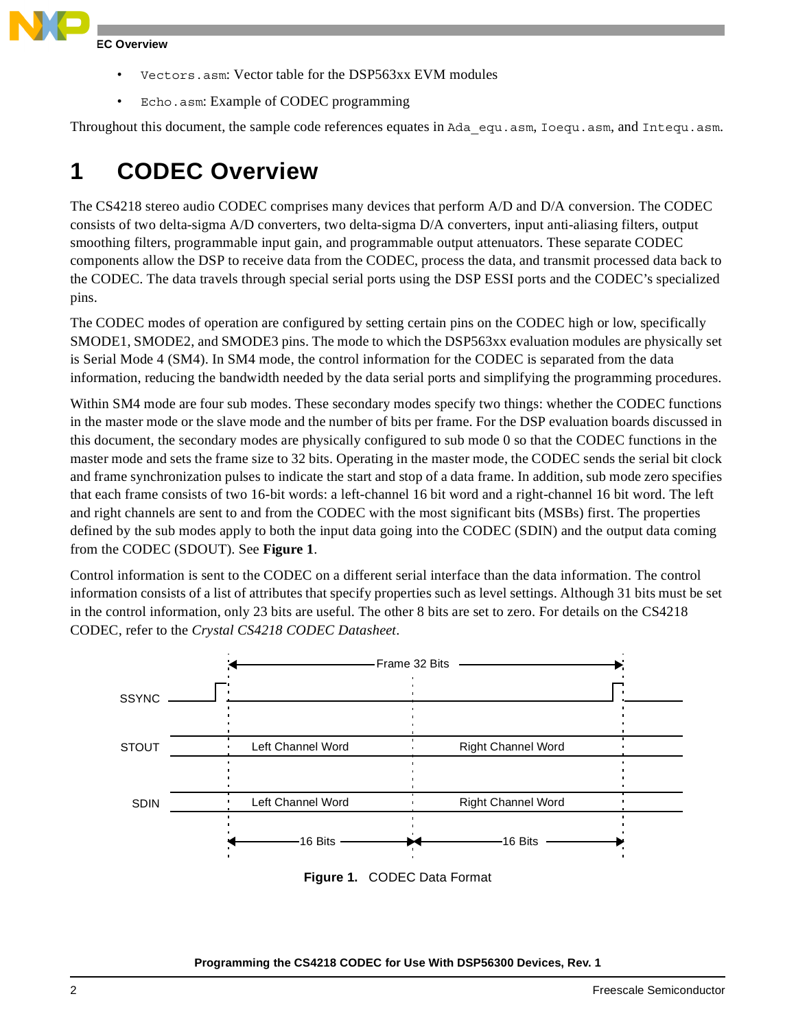

**EC Overview** 

- Vectors.asm: Vector table for the DSP563xx EVM modules
- Echo.asm: Example of CODEC programming

Throughout this document, the sample code references equates in Ada equ.asm, Ioequ.asm, and Intequ.asm.

## **1 CODEC Overview**

The CS4218 stereo audio CODEC comprises many devices that perform A/D and D/A conversion. The CODEC consists of two delta-sigma A/D converters, two delta-sigma D/A converters, input anti-aliasing filters, output smoothing filters, programmable input gain, and programmable output attenuators. These separate CODEC components allow the DSP to receive data from the CODEC, process the data, and transmit processed data back to the CODEC. The data travels through special serial ports using the DSP ESSI ports and the CODEC's specialized pins.

The CODEC modes of operation are configured by setting certain pins on the CODEC high or low, specifically SMODE1, SMODE2, and SMODE3 pins. The mode to which the DSP563xx evaluation modules are physically set is Serial Mode 4 (SM4). In SM4 mode, the control information for the CODEC is separated from the data information, reducing the bandwidth needed by the data serial ports and simplifying the programming procedures.

Within SM4 mode are four sub modes. These secondary modes specify two things: whether the CODEC functions in the master mode or the slave mode and the number of bits per frame. For the DSP evaluation boards discussed in this document, the secondary modes are physically configured to sub mode 0 so that the CODEC functions in the master mode and sets the frame size to 32 bits. Operating in the master mode, the CODEC sends the serial bit clock and frame synchronization pulses to indicate the start and stop of a data frame. In addition, sub mode zero specifies that each frame consists of two 16-bit words: a left-channel 16 bit word and a right-channel 16 bit word. The left and right channels are sent to and from the CODEC with the most significant bits (MSBs) first. The properties defined by the sub modes apply to both the input data going into the CODEC (SDIN) and the output data coming from the CODEC (SDOUT). See **[Figure 1](#page-1-0)**.

Control information is sent to the CODEC on a different serial interface than the data information. The control information consists of a list of attributes that specify properties such as level settings. Although 31 bits must be set in the control information, only 23 bits are useful. The other 8 bits are set to zero. For details on the CS4218 CODEC, refer to the *Crystal CS4218 CODEC Datasheet*.

<span id="page-1-0"></span>

**Figure 1.** CODEC Data Format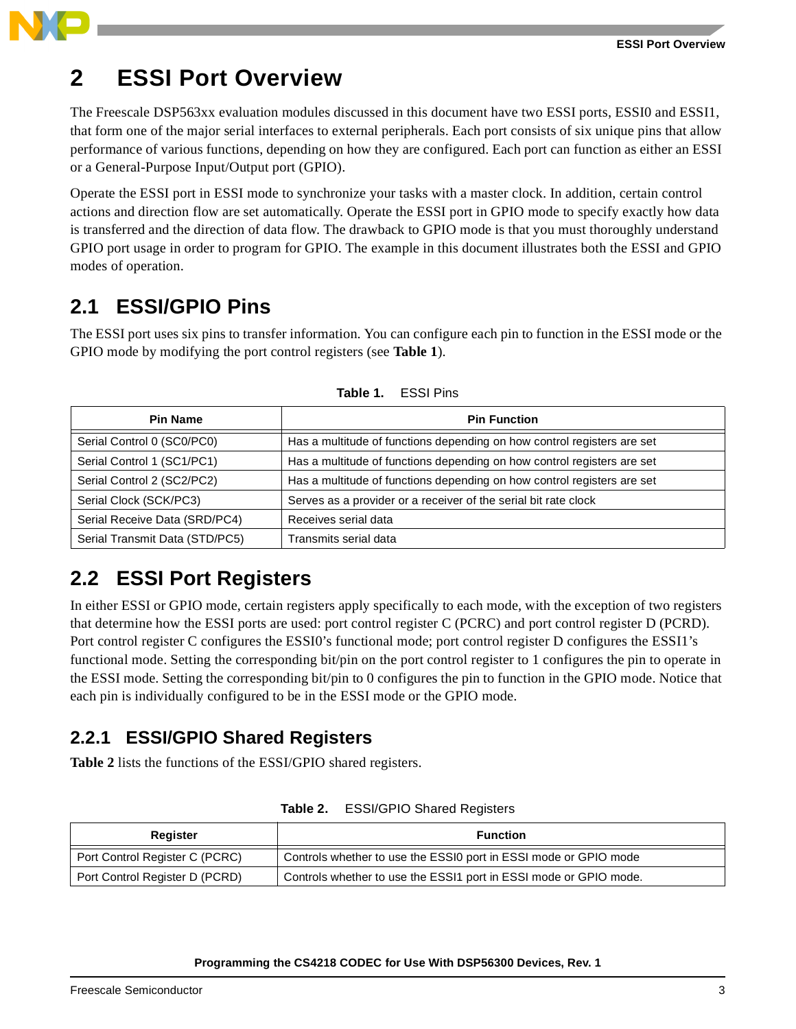## **2 ESSI Port Overview**

The Freescale DSP563xx evaluation modules discussed in this document have two ESSI ports, ESSI0 and ESSI1, that form one of the major serial interfaces to external peripherals. Each port consists of six unique pins that allow performance of various functions, depending on how they are configured. Each port can function as either an ESSI or a General-Purpose Input/Output port (GPIO).

Operate the ESSI port in ESSI mode to synchronize your tasks with a master clock. In addition, certain control actions and direction flow are set automatically. Operate the ESSI port in GPIO mode to specify exactly how data is transferred and the direction of data flow. The drawback to GPIO mode is that you must thoroughly understand GPIO port usage in order to program for GPIO. The example in this document illustrates both the ESSI and GPIO modes of operation.

## **2.1 ESSI/GPIO Pins**

The ESSI port uses six pins to transfer information. You can configure each pin to function in the ESSI mode or the GPIO mode by modifying the port control registers (see **[Table 1](#page-2-0)**).

<span id="page-2-0"></span>

| <b>Pin Name</b>                | <b>Pin Function</b>                                                     |
|--------------------------------|-------------------------------------------------------------------------|
| Serial Control 0 (SC0/PC0)     | Has a multitude of functions depending on how control registers are set |
| Serial Control 1 (SC1/PC1)     | Has a multitude of functions depending on how control registers are set |
| Serial Control 2 (SC2/PC2)     | Has a multitude of functions depending on how control registers are set |
| Serial Clock (SCK/PC3)         | Serves as a provider or a receiver of the serial bit rate clock         |
| Serial Receive Data (SRD/PC4)  | Receives serial data                                                    |
| Serial Transmit Data (STD/PC5) | Transmits serial data                                                   |

**Table 1.** ESSI Pins

## **2.2 ESSI Port Registers**

In either ESSI or GPIO mode, certain registers apply specifically to each mode, with the exception of two registers that determine how the ESSI ports are used: port control register C (PCRC) and port control register D (PCRD). Port control register C configures the ESSI0's functional mode; port control register D configures the ESSI1's functional mode. Setting the corresponding bit/pin on the port control register to 1 configures the pin to operate in the ESSI mode. Setting the corresponding bit/pin to 0 configures the pin to function in the GPIO mode. Notice that each pin is individually configured to be in the ESSI mode or the GPIO mode.

### **2.2.1 ESSI/GPIO Shared Registers**

**[Table 2](#page-2-1)** lists the functions of the ESSI/GPIO shared registers.

<span id="page-2-1"></span>

| Register                       | <b>Function</b>                                                   |
|--------------------------------|-------------------------------------------------------------------|
| Port Control Register C (PCRC) | Controls whether to use the ESSI0 port in ESSI mode or GPIO mode  |
| Port Control Register D (PCRD) | Controls whether to use the ESSI1 port in ESSI mode or GPIO mode. |

**Table 2.** ESSI/GPIO Shared Registers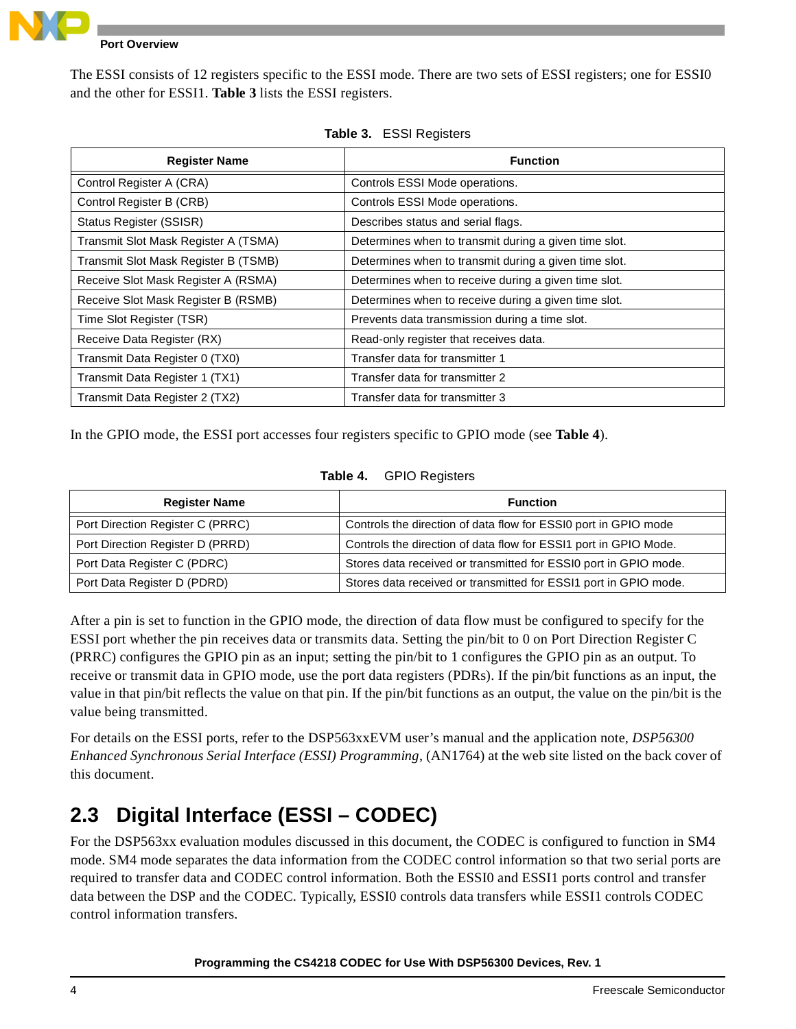

### **Port Overview**

The ESSI consists of 12 registers specific to the ESSI mode. There are two sets of ESSI registers; one for ESSI0 and the other for ESSI1. **[Table 3](#page-3-0)** lists the ESSI registers.

<span id="page-3-0"></span>

| <b>Register Name</b>                 | <b>Function</b>                                       |
|--------------------------------------|-------------------------------------------------------|
| Control Register A (CRA)             | Controls ESSI Mode operations.                        |
| Control Register B (CRB)             | Controls ESSI Mode operations.                        |
| Status Register (SSISR)              | Describes status and serial flags.                    |
| Transmit Slot Mask Register A (TSMA) | Determines when to transmit during a given time slot. |
| Transmit Slot Mask Register B (TSMB) | Determines when to transmit during a given time slot. |
| Receive Slot Mask Register A (RSMA)  | Determines when to receive during a given time slot.  |
| Receive Slot Mask Register B (RSMB)  | Determines when to receive during a given time slot.  |
| Time Slot Register (TSR)             | Prevents data transmission during a time slot.        |
| Receive Data Register (RX)           | Read-only register that receives data.                |
| Transmit Data Register 0 (TX0)       | Transfer data for transmitter 1                       |
| Transmit Data Register 1 (TX1)       | Transfer data for transmitter 2                       |
| Transmit Data Register 2 (TX2)       | Transfer data for transmitter 3                       |

| <b>ESSI Registers</b><br>Table 3. |
|-----------------------------------|
|-----------------------------------|

In the GPIO mode, the ESSI port accesses four registers specific to GPIO mode (see **[Table 4](#page-3-1)**).

| Table 4. | <b>GPIO Registers</b> |
|----------|-----------------------|
|----------|-----------------------|

<span id="page-3-1"></span>

| <b>Register Name</b>             | <b>Function</b>                                                  |
|----------------------------------|------------------------------------------------------------------|
| Port Direction Register C (PRRC) | Controls the direction of data flow for ESSI0 port in GPIO mode  |
| Port Direction Register D (PRRD) | Controls the direction of data flow for ESSI1 port in GPIO Mode. |
| Port Data Register C (PDRC)      | Stores data received or transmitted for ESSI0 port in GPIO mode. |
| Port Data Register D (PDRD)      | Stores data received or transmitted for ESSI1 port in GPIO mode. |

After a pin is set to function in the GPIO mode, the direction of data flow must be configured to specify for the ESSI port whether the pin receives data or transmits data. Setting the pin/bit to 0 on Port Direction Register C (PRRC) configures the GPIO pin as an input; setting the pin/bit to 1 configures the GPIO pin as an output. To receive or transmit data in GPIO mode, use the port data registers (PDRs). If the pin/bit functions as an input, the value in that pin/bit reflects the value on that pin. If the pin/bit functions as an output, the value on the pin/bit is the value being transmitted.

For details on the ESSI ports, refer to the DSP563xxEVM user's manual and the application note, *DSP56300 Enhanced Synchronous Serial Interface (ESSI) Programming*, (AN1764) at the web site listed on the back cover of this document.

## <span id="page-3-2"></span>**2.3 Digital Interface (ESSI – CODEC)**

For the DSP563xx evaluation modules discussed in this document, the CODEC is configured to function in SM4 mode. SM4 mode separates the data information from the CODEC control information so that two serial ports are required to transfer data and CODEC control information. Both the ESSI0 and ESSI1 ports control and transfer data between the DSP and the CODEC. Typically, ESSI0 controls data transfers while ESSI1 controls CODEC control information transfers.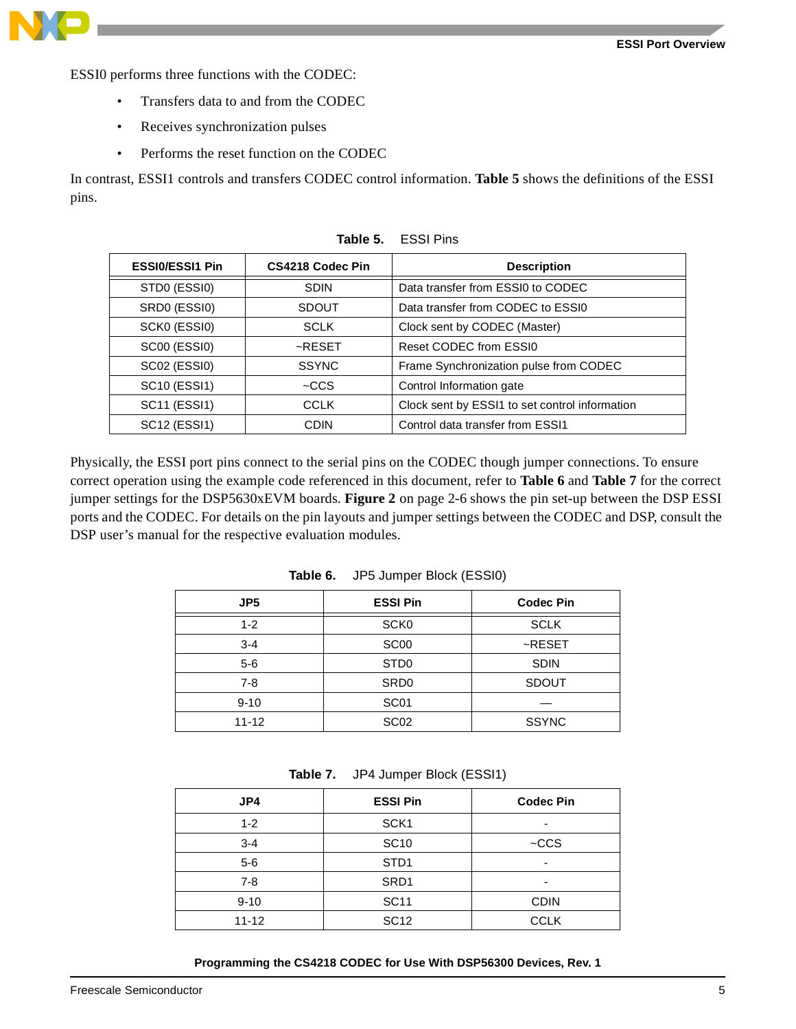

ESSI0 performs three functions with the CODEC:

- Transfers data to and from the CODEC
- Receives synchronization pulses
- Performs the reset function on the CODEC

In contrast, ESSI1 controls and transfers CODEC control information. **[Table 5](#page-4-0)** shows the definitions of the ESSI pins.

<span id="page-4-0"></span>

| <b>ESSI0/ESSI1 Pin</b>                | CS4218 Codec Pin | <b>Description</b>                             |
|---------------------------------------|------------------|------------------------------------------------|
| STD0 (ESSI0)                          | <b>SDIN</b>      | Data transfer from ESSI0 to CODEC              |
| SRD0 (ESSI0)                          | SDOUT            | Data transfer from CODEC to ESSI0              |
| SCK0 (ESSI0)                          | <b>SCLK</b>      | Clock sent by CODEC (Master)                   |
| <b>SC00 (ESSI0)</b>                   | $\sim$ RESET     | Reset CODEC from ESSI0                         |
| SC02 (ESSI0)                          | <b>SSYNC</b>     | Frame Synchronization pulse from CODEC         |
| SC <sub>10</sub> (ESS <sub>I1</sub> ) | $-CCS$           | Control Information gate                       |
| SC11 (ESSI1)                          | CCLK             | Clock sent by ESSI1 to set control information |
| SC12 (ESSI1)                          | <b>CDIN</b>      | Control data transfer from ESSI1               |

**Table 5.** ESSI Pins

Physically, the ESSI port pins connect to the serial pins on the CODEC though jumper connections. To ensure correct operation using the example code referenced in this document, refer to **[Table 6](#page-4-1)** and **[Table 7](#page-4-2)** for the correct jumper settings for the DSP5630xEVM boards. **Figure 2** [on page 2-6](#page-5-0) shows the pin set-up between the DSP ESSI ports and the CODEC. For details on the pin layouts and jumper settings between the CODEC and DSP, consult the DSP user's manual for the respective evaluation modules.

<span id="page-4-1"></span>

| JP <sub>5</sub> | <b>ESSI Pin</b>  | <b>Codec Pin</b> |
|-----------------|------------------|------------------|
| $1 - 2$         | SCK <sub>0</sub> | <b>SCLK</b>      |
| $3 - 4$         | SC <sub>00</sub> | $~\text{-RESET}$ |
| $5-6$           | ST <sub>D0</sub> | <b>SDIN</b>      |
| $7 - 8$         | SR <sub>D0</sub> | <b>SDOUT</b>     |
| $9 - 10$        | SC <sub>01</sub> |                  |
| $11 - 12$       | SC <sub>02</sub> | <b>SSYNC</b>     |

**Table 6.** JP5 Jumper Block (ESSI0)

| Table 7. |  | JP4 Jumper Block (ESSI1) |
|----------|--|--------------------------|
|----------|--|--------------------------|

<span id="page-4-2"></span>

| JP4       | <b>ESSI Pin</b>  | <b>Codec Pin</b> |
|-----------|------------------|------------------|
| $1 - 2$   | SCK <sub>1</sub> |                  |
| $3 - 4$   | <b>SC10</b>      | $-CCS$           |
| $5-6$     | STD <sub>1</sub> |                  |
| $7 - 8$   | SRD <sub>1</sub> |                  |
| $9 - 10$  | <b>SC11</b>      | <b>CDIN</b>      |
| $11 - 12$ | <b>SC12</b>      | <b>CCLK</b>      |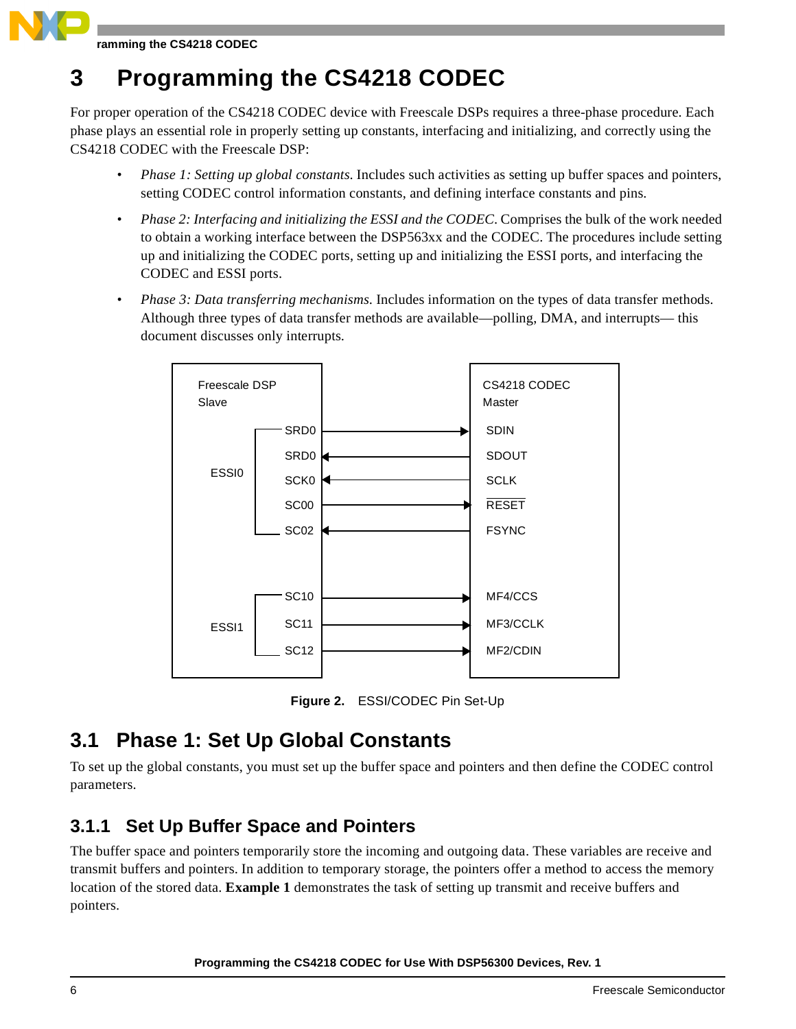<span id="page-5-1"></span>For proper operation of the CS4218 CODEC device with Freescale DSPs requires a three-phase procedure. Each phase plays an essential role in properly setting up constants, interfacing and initializing, and correctly using the CS4218 CODEC with the Freescale DSP:

- *Phase 1: Setting up global constants*. Includes such activities as setting up buffer spaces and pointers, setting CODEC control information constants, and defining interface constants and pins.
- *Phase 2: Interfacing and initializing the ESSI and the CODEC*. Comprises the bulk of the work needed to obtain a working interface between the DSP563xx and the CODEC. The procedures include setting up and initializing the CODEC ports, setting up and initializing the ESSI ports, and interfacing the CODEC and ESSI ports.
- *Phase 3: Data transferring mechanisms*. Includes information on the types of data transfer methods. Although three types of data transfer methods are available—polling, DMA, and interrupts— this document discusses only interrupts.



**Figure 2.** ESSI/CODEC Pin Set-Up

## <span id="page-5-0"></span>**3.1 Phase 1: Set Up Global Constants**

To set up the global constants, you must set up the buffer space and pointers and then define the CODEC control parameters.

### **3.1.1 Set Up Buffer Space and Pointers**

The buffer space and pointers temporarily store the incoming and outgoing data. These variables are receive and transmit buffers and pointers. In addition to temporary storage, the pointers offer a method to access the memory location of the stored data. **[Example 1](#page-6-0)** demonstrates the task of setting up transmit and receive buffers and pointers.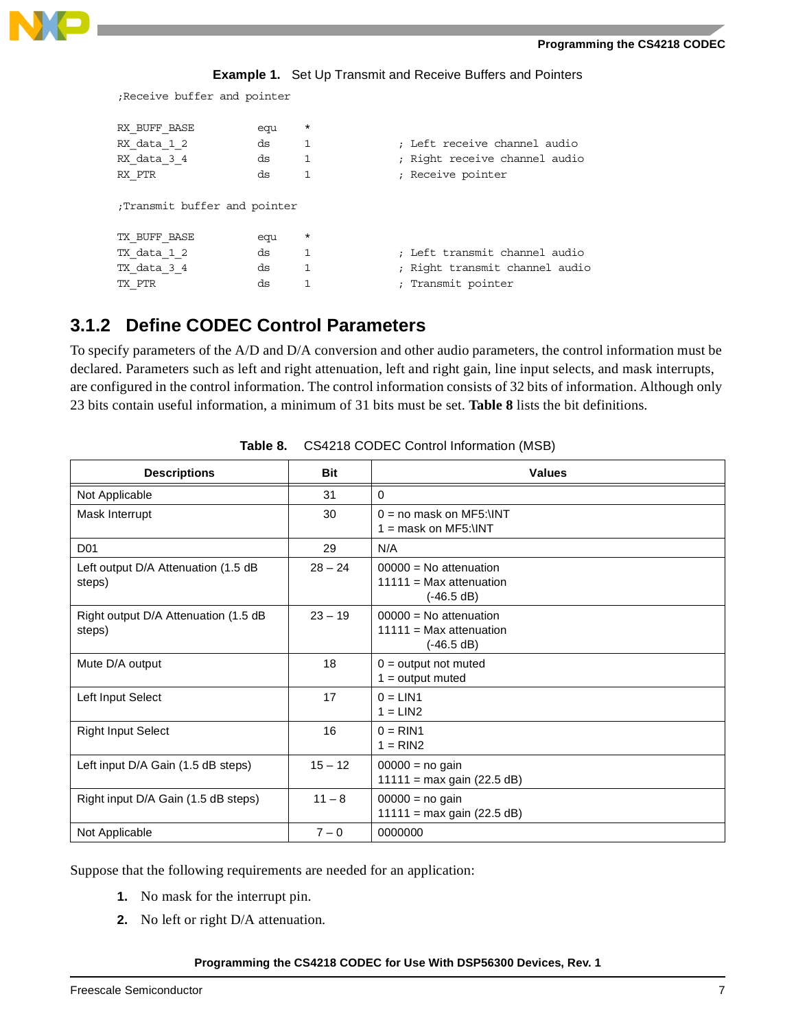

**Example 1.** Set Up Transmit and Receive Buffers and Pointers

<span id="page-6-0"></span>;Receive buffer and pointer

| RX BUFF BASE<br>RX data 1 2<br>RX data 34<br>RX PTR | equ<br>ds<br>ds<br>ds | $\star$<br>1<br>1 | ; Left receive channel audio<br>; Right receive channel audio<br>; Receive pointer |
|-----------------------------------------------------|-----------------------|-------------------|------------------------------------------------------------------------------------|
| Transmit buffer and pointer;                        |                       |                   |                                                                                    |
| TX BUFF BASE                                        | equ                   | $\star$           |                                                                                    |
| TX data 1 2                                         | ds                    | 1                 | : Left transmit channel audio                                                      |
| TX data 3 4                                         | ds                    | 1                 | ; Right transmit channel audio                                                     |
| TX PTR                                              | ds                    |                   | ; Transmit pointer                                                                 |

### **3.1.2 Define CODEC Control Parameters**

To specify parameters of the A/D and D/A conversion and other audio parameters, the control information must be declared. Parameters such as left and right attenuation, left and right gain, line input selects, and mask interrupts, are configured in the control information. The control information consists of 32 bits of information. Although only 23 bits contain useful information, a minimum of 31 bits must be set. **[Table 8](#page-6-1)** lists the bit definitions.

<span id="page-6-1"></span>

| <b>Descriptions</b>                            | Bit       | <b>Values</b>                                                       |
|------------------------------------------------|-----------|---------------------------------------------------------------------|
| Not Applicable                                 | 31        | $\Omega$                                                            |
| Mask Interrupt                                 | 30        | $0 = no$ mask on MF5: \INT<br>$1 =$ mask on MF5: \INT               |
| D <sub>01</sub>                                | 29        | N/A                                                                 |
| Left output D/A Attenuation (1.5 dB<br>steps)  | $28 - 24$ | $00000 = No$ attenuation<br>$11111 = Max$ attenuation<br>(-46.5 dB) |
| Right output D/A Attenuation (1.5 dB<br>steps) | $23 - 19$ | $00000 = No$ attenuation<br>$11111 = Max$ attenuation<br>(-46.5 dB) |
| Mute D/A output                                | 18        | $0 =$ output not muted<br>$1 =$ output muted                        |
| Left Input Select                              | 17        | $0 = LIN1$<br>$1 = LIN2$                                            |
| <b>Right Input Select</b>                      | 16        | $0 = RIN1$<br>$1 = RIN2$                                            |
| Left input D/A Gain (1.5 dB steps)             | $15 - 12$ | $00000 = no gain$<br>$11111 = max gain (22.5 dB)$                   |
| Right input D/A Gain (1.5 dB steps)            | $11 - 8$  | $00000 = no gain$<br>$11111 = max gain (22.5 dB)$                   |
| Not Applicable                                 | $7 - 0$   | 0000000                                                             |

**Table 8.** CS4218 CODEC Control Information (MSB)

Suppose that the following requirements are needed for an application:

- **1.** No mask for the interrupt pin.
- **2.** No left or right D/A attenuation.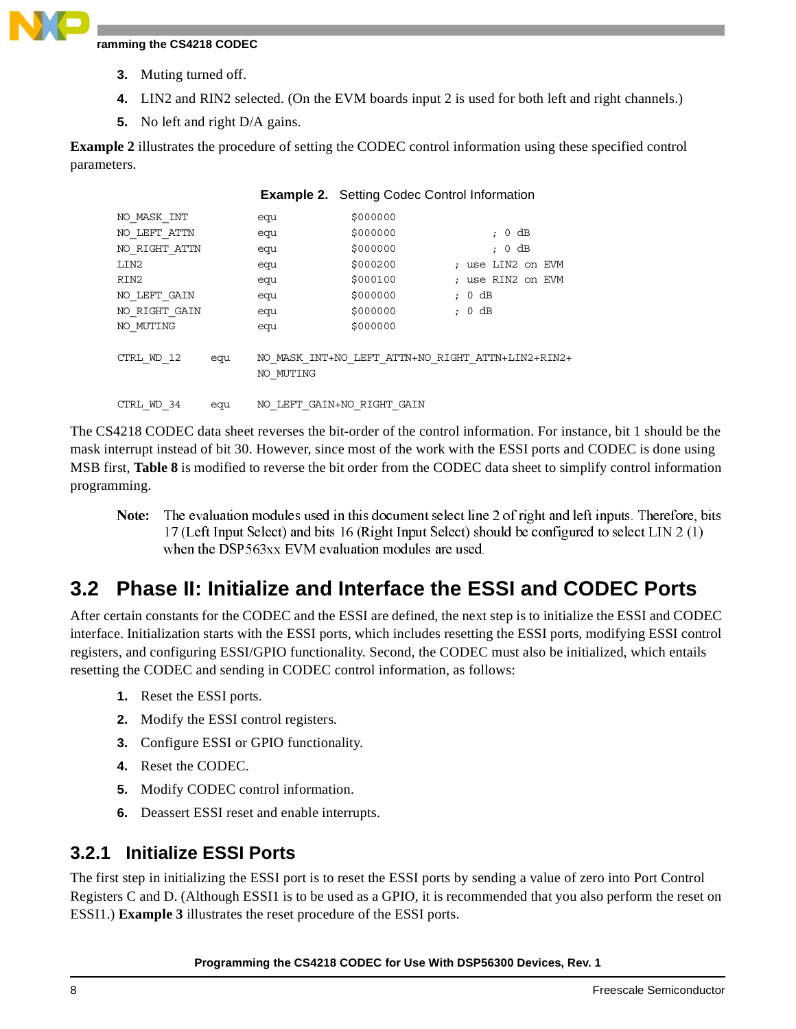- **3.** Muting turned off.
- **4.** LIN2 and RIN2 selected. (On the EVM boards input 2 is used for both left and right channels.)
- **5.** No left and right D/A gains.

**[Example 2](#page-7-0)** illustrates the procedure of setting the CODEC control information using these specified control parameters.

<span id="page-7-0"></span>

|               |     |           | <b>Example 2.</b> Setting Codec Control Information |                                                   |
|---------------|-----|-----------|-----------------------------------------------------|---------------------------------------------------|
| NO MASK INT   |     | equ       | \$000000                                            |                                                   |
| NO LEFT ATTN  |     | equ       | \$000000                                            | dВ<br>0<br>$\ddot{\phantom{0}}$                   |
| NO RIGHT ATTN |     | equ       | \$000000                                            | $0$ dB<br>$\ddot{ }$                              |
| LIN2          |     | equ       | \$000200                                            | ; use LIN2 on EVM                                 |
| RIN2          |     | equ       | \$000100                                            | ; use RIN2 on EVM                                 |
| NO LEFT GAIN  |     | equ       | \$000000                                            | $0$ dB<br>$\ddot{\phantom{0}}$                    |
| NO RIGHT GAIN |     | equ       | \$000000                                            | $0$ dB<br>$\ddot{ }$                              |
| NO MUTING     |     | equ       | \$000000                                            |                                                   |
| CTRL WD 12    | equ | NO MUTING |                                                     | NO MASK INT+NO LEFT ATTN+NO RIGHT ATTN+LIN2+RIN2+ |
| CTRL WD 34    | equ |           | NO LEFT GAIN+NO RIGHT GAIN                          |                                                   |

The CS4218 CODEC data sheet reverses the bit-order of the control information. For instance, bit 1 should be the mask interrupt instead of bit 30. However, since most of the work with the ESSI ports and CODEC is done using MSB first, **[Table 8](#page-6-1)** is modified to reverse the bit order from the CODEC data sheet to simplify control information programming.

Note: e: The evaluation modules used in this document select line 2 of right and left inputs. Therefore, bits 17 (Left Input Select) and bits 16 (Right Input Select) should be configured to select LIN 2 (1) when the DSP563xx EVM evaluation modules are used.

## **3.2 Phase II: Initialize and Interface the ESSI and CODEC Ports**

After certain constants for the CODEC and the ESSI are defined, the next step is to initialize the ESSI and CODEC interface. Initialization starts with the ESSI ports, which includes resetting the ESSI ports, modifying ESSI control registers, and configuring ESSI/GPIO functionality. Second, the CODEC must also be initialized, which entails resetting the CODEC and sending in CODEC control information, as follows:

- **1.** Reset the ESSI ports.
- **2.** Modify the ESSI control registers.
- **3.** Configure ESSI or GPIO functionality.
- **4.** Reset the CODEC.
- **5.** Modify CODEC control information.
- **6.** Deassert ESSI reset and enable interrupts.

### **3.2.1 Initialize ESSI Ports**

The first step in initializing the ESSI port is to reset the ESSI ports by sending a value of zero into Port Control Registers C and D. (Although ESSI1 is to be used as a GPIO, it is recommended that you also perform the reset on ESSI1.) **[Example 3](#page-8-0)** illustrates the reset procedure of the ESSI ports.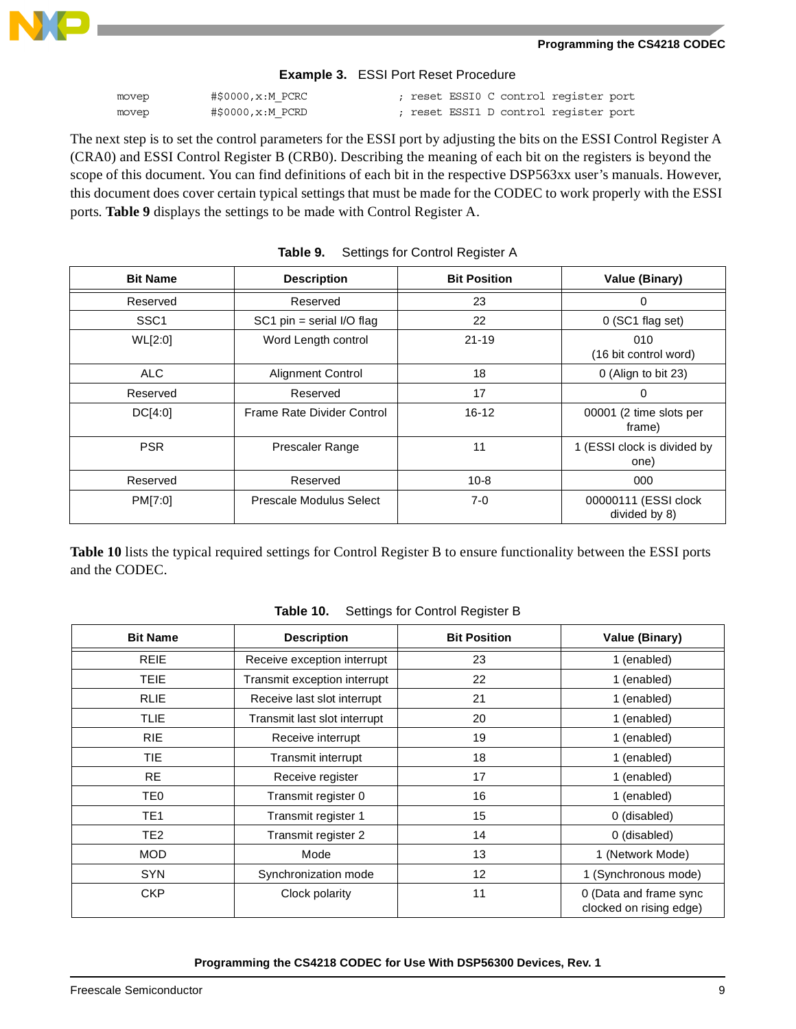

### **Example 3.** ESSI Port Reset Procedure

<span id="page-8-0"></span>

| movep | #\$0000,x:M PCRC |  |  | ; reset ESSIO C control register port |  |
|-------|------------------|--|--|---------------------------------------|--|
| movep | #\$0000,x:M PCRD |  |  | ; reset ESSI1 D control register port |  |

The next step is to set the control parameters for the ESSI port by adjusting the bits on the ESSI Control Register A (CRA0) and ESSI Control Register B (CRB0). Describing the meaning of each bit on the registers is beyond the scope of this document. You can find definitions of each bit in the respective DSP563xx user's manuals. However, this document does cover certain typical settings that must be made for the CODEC to work properly with the ESSI ports. **[Table 9](#page-8-1)** displays the settings to be made with Control Register A.

<span id="page-8-1"></span>

| <b>Bit Name</b>  | <b>Description</b>          | <b>Bit Position</b> | <b>Value (Binary)</b>                 |
|------------------|-----------------------------|---------------------|---------------------------------------|
| Reserved         | Reserved                    | 23                  | 0                                     |
| SSC <sub>1</sub> | $SC1$ pin = serial I/O flag | 22                  | $0$ (SC1 flag set)                    |
| WL[2:0]          | Word Length control         | $21 - 19$           | 010<br>(16 bit control word)          |
| ALC.             | <b>Alignment Control</b>    | 18                  | 0 (Align to bit 23)                   |
| Reserved         | Reserved                    | 17                  | 0                                     |
| DC[4:0]          | Frame Rate Divider Control  | $16 - 12$           | 00001 (2 time slots per<br>frame)     |
| <b>PSR</b>       | <b>Prescaler Range</b>      | 11                  | 1 (ESSI clock is divided by<br>one)   |
| Reserved         | Reserved                    | $10 - 8$            | 000                                   |
| PM[7:0]          | Prescale Modulus Select     | $7-0$               | 00000111 (ESSI clock<br>divided by 8) |

|  | Table 9. | Settings for Control Register A |  |
|--|----------|---------------------------------|--|
|--|----------|---------------------------------|--|

**[Table 10](#page-8-2)** lists the typical required settings for Control Register B to ensure functionality between the ESSI ports and the CODEC.

<span id="page-8-2"></span>

| <b>Bit Name</b> | <b>Description</b>           | <b>Bit Position</b> | Value (Binary)                                    |
|-----------------|------------------------------|---------------------|---------------------------------------------------|
| <b>REIE</b>     | Receive exception interrupt  | 23                  | 1 (enabled)                                       |
| <b>TEIE</b>     | Transmit exception interrupt | 22                  | 1 (enabled)                                       |
| <b>RLIE</b>     | Receive last slot interrupt  | 21                  | 1 (enabled)                                       |
| <b>TLIE</b>     | Transmit last slot interrupt | 20                  | 1 (enabled)                                       |
| <b>RIE</b>      | Receive interrupt            | 19                  | 1 (enabled)                                       |
| TIE.            | <b>Transmit interrupt</b>    | 18                  | 1 (enabled)                                       |
| <b>RE</b>       | Receive register             | 17                  | 1 (enabled)                                       |
| TE0             | Transmit register 0          | 16                  | 1 (enabled)                                       |
| TE <sub>1</sub> | Transmit register 1          | 15                  | 0 (disabled)                                      |
| TE <sub>2</sub> | Transmit register 2          | 14                  | 0 (disabled)                                      |
| <b>MOD</b>      | Mode                         | 13                  | 1 (Network Mode)                                  |
| <b>SYN</b>      | Synchronization mode         | 12                  | 1 (Synchronous mode)                              |
| CKP             | Clock polarity               | 11                  | 0 (Data and frame sync<br>clocked on rising edge) |

### **Table 10.** Settings for Control Register B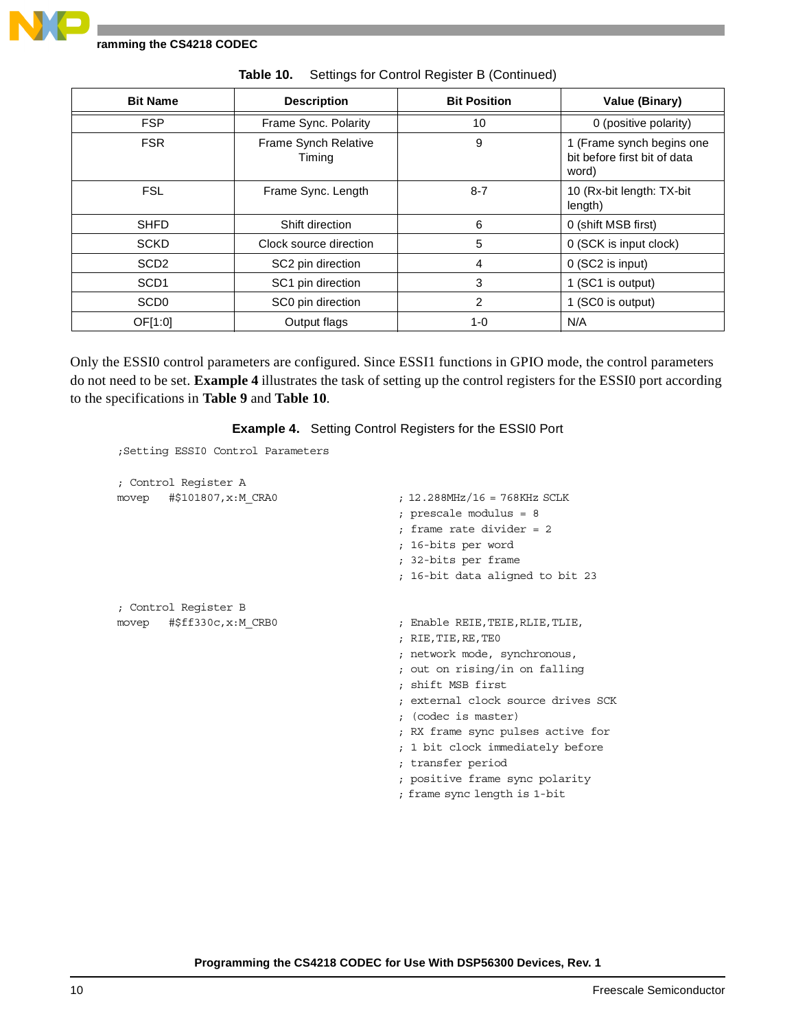| <b>Bit Name</b>  | <b>Description</b>             | <b>Bit Position</b> | Value (Binary)                                                     |
|------------------|--------------------------------|---------------------|--------------------------------------------------------------------|
| <b>FSP</b>       | Frame Sync. Polarity           | 10                  | 0 (positive polarity)                                              |
| <b>FSR</b>       | Frame Synch Relative<br>Timing | 9                   | 1 (Frame synch begins one<br>bit before first bit of data<br>word) |
| <b>FSL</b>       | Frame Sync. Length             | $8 - 7$             | 10 (Rx-bit length: TX-bit<br>length)                               |
| <b>SHFD</b>      | Shift direction                | 6                   | 0 (shift MSB first)                                                |
| <b>SCKD</b>      | Clock source direction         | 5                   | 0 (SCK is input clock)                                             |
| SCD <sub>2</sub> | SC2 pin direction              | 4                   | 0 (SC2 is input)                                                   |
| SCD <sub>1</sub> | SC1 pin direction              | 3                   | 1 (SC1 is output)                                                  |
| SCD <sub>0</sub> | SC0 pin direction              | 2                   | 1 (SC0 is output)                                                  |
| OF[1:0]          | Output flags                   | $1 - 0$             | N/A                                                                |

**Table 10.** Settings for Control Register B (Continued)

Only the ESSI0 control parameters are configured. Since ESSI1 functions in GPIO mode, the control parameters do not need to be set. **[Example 4](#page-9-0)** illustrates the task of setting up the control registers for the ESSI0 port according to the specifications in **[Table 9](#page-8-1)** and **[Table 10](#page-8-2)**.

**Example 4.** Setting Control Registers for the ESSI0 Port

```
;Setting ESSI0 Control Parameters
```

| ; Control Reqister A          |                                    |
|-------------------------------|------------------------------------|
| movep #\$101807, x: M CRA0    | ; 12.288MHz/16 = 768KHz SCLK       |
|                               | ; prescale modulus = 8             |
|                               | : frame rate divider = $2$         |
|                               | ; 16-bits per word                 |
|                               | ; 32-bits per frame                |
|                               | ; 16-bit data aligned to bit 23    |
| ; Control Register B          |                                    |
| movep $\#$ \$ff330c, x:M CRB0 | ; Enable REIE,TEIE,RLIE,TLIE,      |
|                               | ; RIE, TIE, RE, TEO                |
|                               | ; network mode, synchronous,       |
|                               | ; out on rising/in on falling      |
|                               | ; shift MSB first                  |
|                               | : external clock source drives SCK |
|                               | ; (codec is master)                |
|                               | ; RX frame sync pulses active for  |
|                               | ; 1 bit clock immediately before   |
|                               | ; transfer period                  |
|                               | ; positive frame sync polarity     |
|                               | ; frame sync length is 1-bit       |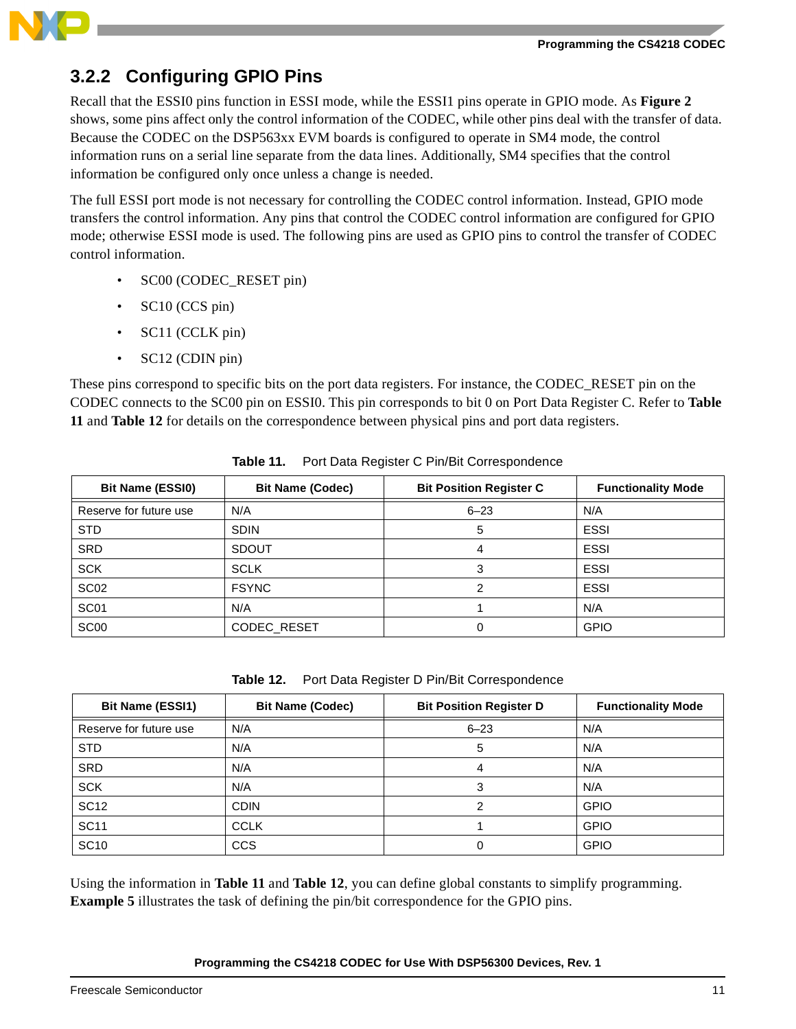

### <span id="page-10-2"></span>**3.2.2 Configuring GPIO Pins**

Recall that the ESSI0 pins function in ESSI mode, while the ESSI1 pins operate in GPIO mode. As **[Figure 2](#page-5-0)** shows, some pins affect only the control information of the CODEC, while other pins deal with the transfer of data. Because the CODEC on the DSP563xx EVM boards is configured to operate in SM4 mode, the control information runs on a serial line separate from the data lines. Additionally, SM4 specifies that the control information be configured only once unless a change is needed.

The full ESSI port mode is not necessary for controlling the CODEC control information. Instead, GPIO mode transfers the control information. Any pins that control the CODEC control information are configured for GPIO mode; otherwise ESSI mode is used. The following pins are used as GPIO pins to control the transfer of CODEC control information.

- SC00 (CODEC\_RESET pin)
- SC10 (CCS pin)
- SC11 (CCLK pin)
- SC12 (CDIN pin)

These pins correspond to specific bits on the port data registers. For instance, the CODEC\_RESET pin on the CODEC connects to the SC00 pin on ESSI0. This pin corresponds to bit 0 on Port Data Register C. Refer to **[Table](#page-10-0)  [11](#page-10-0)** and **[Table 12](#page-10-1)** for details on the correspondence between physical pins and port data registers.

<span id="page-10-0"></span>

| <b>Bit Name (ESSI0)</b> | <b>Bit Name (Codec)</b> | <b>Bit Position Register C</b> | <b>Functionality Mode</b> |
|-------------------------|-------------------------|--------------------------------|---------------------------|
| Reserve for future use  | N/A                     | $6 - 23$                       | N/A                       |
| <b>STD</b>              | <b>SDIN</b>             | 5                              | <b>ESSI</b>               |
| <b>SRD</b>              | <b>SDOUT</b>            | 4                              | <b>ESSI</b>               |
| <b>SCK</b>              | <b>SCLK</b>             |                                | <b>ESSI</b>               |
| SC <sub>02</sub>        | <b>FSYNC</b>            | っ                              | <b>ESSI</b>               |
| SC <sub>01</sub>        | N/A                     |                                | N/A                       |
| SC <sub>00</sub>        | <b>CODEC RESET</b>      |                                | <b>GPIO</b>               |

| Table 11. | Port Data Register C Pin/Bit Correspondence |
|-----------|---------------------------------------------|
|           |                                             |

**Table 12.** Port Data Register D Pin/Bit Correspondence

<span id="page-10-1"></span>

| <b>Bit Name (ESSI1)</b> | <b>Bit Name (Codec)</b> | <b>Bit Position Register D</b> | <b>Functionality Mode</b> |
|-------------------------|-------------------------|--------------------------------|---------------------------|
| Reserve for future use  | N/A                     | $6 - 23$                       | N/A                       |
| <b>STD</b>              | N/A                     | 5                              | N/A                       |
| <b>SRD</b>              | N/A                     | 4                              | N/A                       |
| <b>SCK</b>              | N/A                     | 3                              | N/A                       |
| <b>SC12</b>             | <b>CDIN</b>             |                                | <b>GPIO</b>               |
| <b>SC11</b>             | <b>CCLK</b>             |                                | <b>GPIO</b>               |
| <b>SC10</b>             | <b>CCS</b>              |                                | <b>GPIO</b>               |

Using the information in **[Table 11](#page-10-0)** and **[Table 12](#page-10-1)**, you can define global constants to simplify programming. **[Example 5](#page-11-0)** illustrates the task of defining the pin/bit correspondence for the GPIO pins.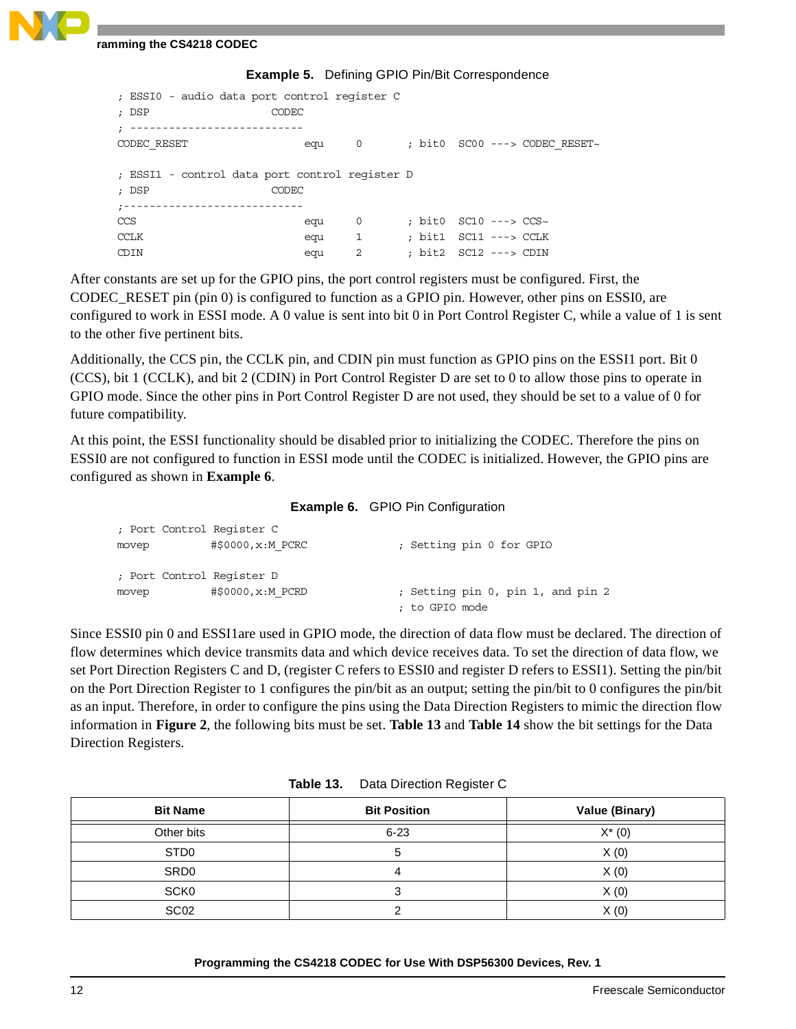|  | <b>Example 5.</b> Defining GPIO Pin/Bit Correspondence |  |  |
|--|--------------------------------------------------------|--|--|
|--|--------------------------------------------------------|--|--|

<span id="page-11-0"></span>

| ; ESSIO - audio data port control reqister C<br>; DSP | CODEC |                |                           |                               |
|-------------------------------------------------------|-------|----------------|---------------------------|-------------------------------|
|                                                       |       |                |                           |                               |
| CODEC RESET                                           | equ   | $\overline{0}$ |                           | ; bit0 SC00 ---> CODEC RESET~ |
|                                                       |       |                |                           |                               |
| ; ESSI1 - control data port control register D        |       |                |                           |                               |
| ; DSP                                                 | CODEC |                |                           |                               |
|                                                       |       |                |                           |                               |
| CCS                                                   | equ   | 0              | : bit0 $SC10$ ---> $CCS~$ |                               |
| CCLK                                                  | equ   | $\mathbf{1}$   | : bit1 SC11 ---> CCLK     |                               |
| CDIN                                                  | equ   | $\overline{2}$ | : bit2 SC12 ---> CDIN     |                               |
|                                                       |       |                |                           |                               |

After constants are set up for the GPIO pins, the port control registers must be configured. First, the CODEC\_RESET pin (pin 0) is configured to function as a GPIO pin. However, other pins on ESSI0, are configured to work in ESSI mode. A 0 value is sent into bit 0 in Port Control Register C, while a value of 1 is sent to the other five pertinent bits.

Additionally, the CCS pin, the CCLK pin, and CDIN pin must function as GPIO pins on the ESSI1 port. Bit 0 (CCS), bit 1 (CCLK), and bit 2 (CDIN) in Port Control Register D are set to 0 to allow those pins to operate in GPIO mode. Since the other pins in Port Control Register D are not used, they should be set to a value of 0 for future compatibility.

At this point, the ESSI functionality should be disabled prior to initializing the CODEC. Therefore the pins on ESSI0 are not configured to function in ESSI mode until the CODEC is initialized. However, the GPIO pins are configured as shown in **[Example 6](#page-11-1)**.

|  | <b>Example 6.</b> GPIO Pin Configuration |
|--|------------------------------------------|
|--|------------------------------------------|

<span id="page-11-1"></span>

| ; Port Control Register C |                    |                                   |
|---------------------------|--------------------|-----------------------------------|
| movep                     | #\$0000, x: M PCRC | ; Setting pin 0 for GPIO          |
|                           |                    |                                   |
| ; Port Control Reqister D |                    |                                   |
| movep                     | #\$0000, x: M PCRD | ; Setting pin 0, pin 1, and pin 2 |
|                           |                    | ; to GPIO mode                    |

Since ESSI0 pin 0 and ESSI1are used in GPIO mode, the direction of data flow must be declared. The direction of flow determines which device transmits data and which device receives data. To set the direction of data flow, we set Port Direction Registers C and D, (register C refers to ESSI0 and register D refers to ESSI1). Setting the pin/bit on the Port Direction Register to 1 configures the pin/bit as an output; setting the pin/bit to 0 configures the pin/bit as an input. Therefore, in order to configure the pins using the Data Direction Registers to mimic the direction flow information in **[Figure 2](#page-5-0)**, the following bits must be set. **[Table 13](#page-11-2)** and **[Table 14](#page-12-0)** show the bit settings for the Data Direction Registers.

<span id="page-11-2"></span>

| <b>Bit Name</b>  | <b>Bit Position</b> | Value (Binary) |
|------------------|---------------------|----------------|
| Other bits       | $6 - 23$            | $X^*(0)$       |
| ST <sub>D0</sub> |                     | X(0)           |
| SR <sub>D0</sub> |                     | X(0)           |
| SCK <sub>0</sub> |                     | X(0)           |
| SC <sub>02</sub> |                     | X(0)           |

| Table 13. | Data Direction Register C |  |
|-----------|---------------------------|--|
|-----------|---------------------------|--|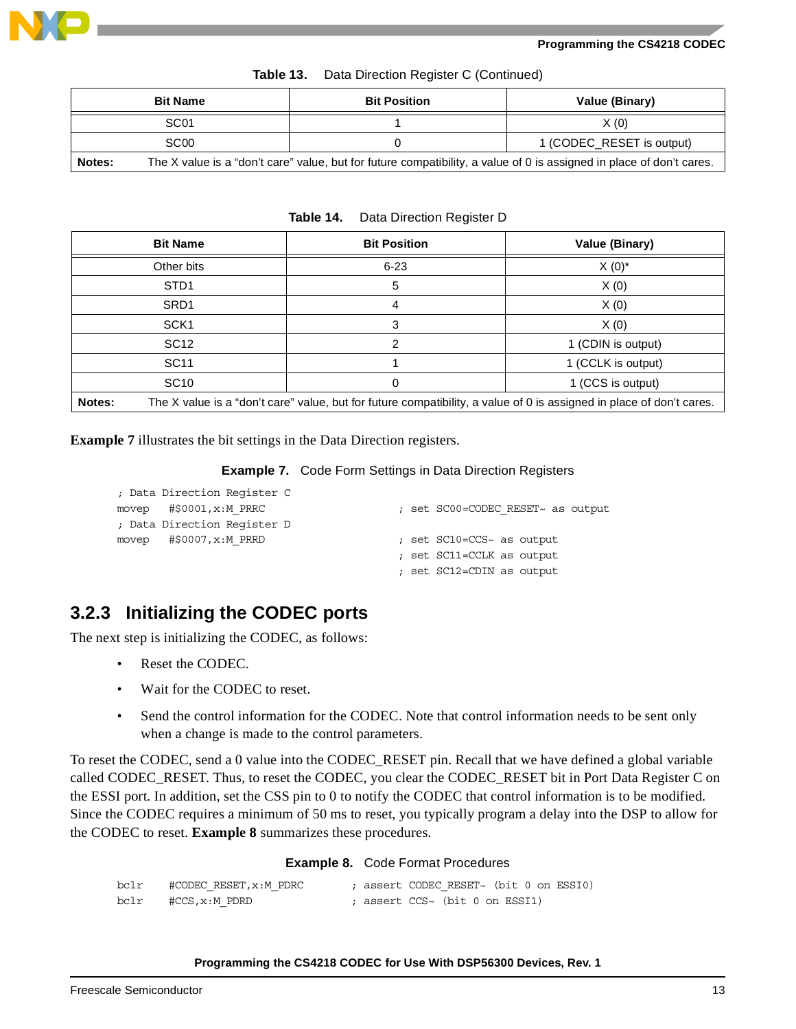

| Table 13. |  |  |  |  | Data Direction Register C (Continued) |  |
|-----------|--|--|--|--|---------------------------------------|--|
|-----------|--|--|--|--|---------------------------------------|--|

| <b>Bit Name</b>                                                                                                                |  | <b>Bit Position</b>       | Value (Binary) |  |  |
|--------------------------------------------------------------------------------------------------------------------------------|--|---------------------------|----------------|--|--|
| SC <sub>01</sub>                                                                                                               |  |                           | X(0)           |  |  |
| SC <sub>00</sub>                                                                                                               |  | 1 (CODEC RESET is output) |                |  |  |
| The X value is a "don't care" value, but for future compatibility, a value of 0 is assigned in place of don't cares.<br>Notes: |  |                           |                |  |  |

**Table 14.** Data Direction Register D

<span id="page-12-0"></span>

|        | <b>Bit Name</b>  | <b>Bit Position</b>                                                                                                  | Value (Binary)     |
|--------|------------------|----------------------------------------------------------------------------------------------------------------------|--------------------|
|        | Other bits       | $6 - 23$                                                                                                             | $X(0)^*$           |
|        | STD <sub>1</sub> | 5                                                                                                                    | X(0)               |
|        | SRD <sub>1</sub> | 4                                                                                                                    | X(0)               |
|        | SCK <sub>1</sub> | 3                                                                                                                    | X(0)               |
|        | SC <sub>12</sub> | っ                                                                                                                    | 1 (CDIN is output) |
|        | SC <sub>11</sub> |                                                                                                                      | 1 (CCLK is output) |
|        | <b>SC10</b>      | 0                                                                                                                    | 1 (CCS is output)  |
| Notes: |                  | The X value is a "don't care" value, but for future compatibility, a value of 0 is assigned in place of don't cares. |                    |

<span id="page-12-1"></span>**[Example 7](#page-12-1)** illustrates the bit settings in the Data Direction registers.

### **Example 7.** Code Form Settings in Data Direction Registers

| ; Data Direction Reqister C     |                                   |
|---------------------------------|-----------------------------------|
| movep $\#$ \$0001, $x$ : M PRRC | ; set SC00=CODEC RESET~ as output |
| ; Data Direction Reqister D     |                                   |
| movep $\#$ \$0007, $x$ :M PRRD  | ; set SC10=CCS~ as output         |
|                                 | ; set SC11=CCLK as output         |
|                                 | ; set SC12=CDIN as output         |
|                                 |                                   |

### **3.2.3 Initializing the CODEC ports**

The next step is initializing the CODEC, as follows:

- Reset the CODEC.
- Wait for the CODEC to reset.
- Send the control information for the CODEC. Note that control information needs to be sent only when a change is made to the control parameters.

To reset the CODEC, send a 0 value into the CODEC\_RESET pin. Recall that we have defined a global variable called CODEC\_RESET. Thus, to reset the CODEC, you clear the CODEC\_RESET bit in Port Data Register C on the ESSI port. In addition, set the CSS pin to 0 to notify the CODEC that control information is to be modified. Since the CODEC requires a minimum of 50 ms to reset, you typically program a delay into the DSP to allow for the CODEC to reset. **[Example 8](#page-12-2)** summarizes these procedures.

### **Example 8.** Code Format Procedures

<span id="page-12-2"></span>

| bclr | #CODEC RESET,x:M PDRC |  | : assert CODEC RESET~ (bit 0 on ESSI0) |  |  |
|------|-----------------------|--|----------------------------------------|--|--|
| bclr | #CCS,x:M PDRD         |  | : assert CCS~ (bit 0 on ESSI1)         |  |  |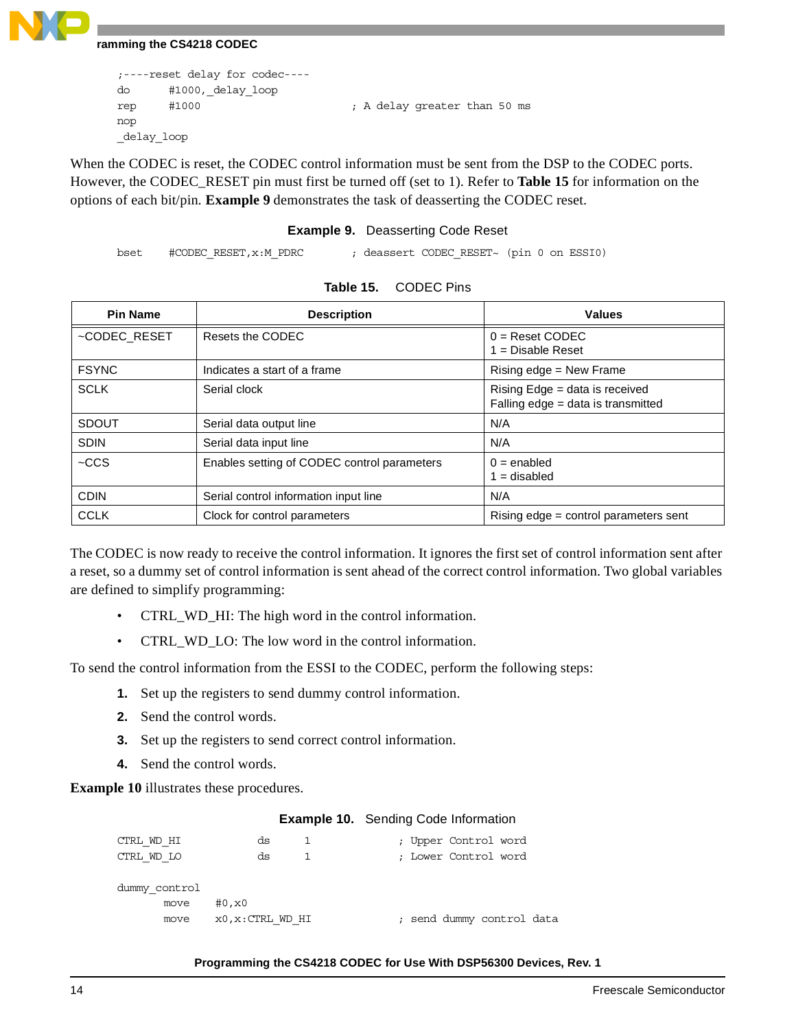```
;----reset delay for codec----
do #1000,_delay_loop
rep #1000 (a) \frac{1}{2} ; A delay greater than 50 ms
nop
_delay_loop
```
When the CODEC is reset, the CODEC control information must be sent from the DSP to the CODEC ports. However, the CODEC\_RESET pin must first be turned off (set to 1). Refer to **[Table 15](#page-13-0)** for information on the options of each bit/pin. **[Example 9](#page-13-1)** demonstrates the task of deasserting the CODEC reset.

### **Example 9.** Deasserting Code Reset

```
bset #CODEC_RESET,x:M_PDRC ; deassert CODEC_RESET~ (pin 0 on ESSI0)
```
<span id="page-13-0"></span>

| <b>Pin Name</b> | <b>Description</b>                          | <b>Values</b>                                                        |
|-----------------|---------------------------------------------|----------------------------------------------------------------------|
| ~CODEC_RESET    | Resets the CODEC                            | $0 =$ Reset CODEC<br>$1 = Disable$ Reset                             |
| <b>FSYNC</b>    | Indicates a start of a frame                | Rising edge = New Frame                                              |
| <b>SCLK</b>     | Serial clock                                | Rising Edge = data is received<br>Falling edge = data is transmitted |
| <b>SDOUT</b>    | Serial data output line                     | N/A                                                                  |
| <b>SDIN</b>     | Serial data input line                      | N/A                                                                  |
| $-CCS$          | Enables setting of CODEC control parameters | $0 =$ enabled<br>$1 =$ disabled                                      |
| <b>CDIN</b>     | Serial control information input line       | N/A                                                                  |
| <b>CCLK</b>     | Clock for control parameters                | Rising edge = control parameters sent                                |

| Table 15. | <b>CODEC Pins</b> |
|-----------|-------------------|
|-----------|-------------------|

The CODEC is now ready to receive the control information. It ignores the first set of control information sent after a reset, so a dummy set of control information is sent ahead of the correct control information. Two global variables are defined to simplify programming:

- CTRL\_WD\_HI: The high word in the control information.
- CTRL\_WD\_LO: The low word in the control information.

To send the control information from the ESSI to the CODEC, perform the following steps:

- **1.** Set up the registers to send dummy control information.
- **2.** Send the control words.
- **3.** Set up the registers to send correct control information.
- **4.** Send the control words.

<span id="page-13-2"></span>**[Example 10](#page-13-2)** illustrates these procedures.

### **Example 10.** Sending Code Information

| CTRL WD HI    | ds                | ; Upper Control word      |
|---------------|-------------------|---------------------------|
| CTRL WD LO    | ds                | ; Lower Control word      |
|               |                   |                           |
| dummy control |                   |                           |
| move          | #0, x0            |                           |
| move          | x0, x: CTRL WD HI | ; send dummy control data |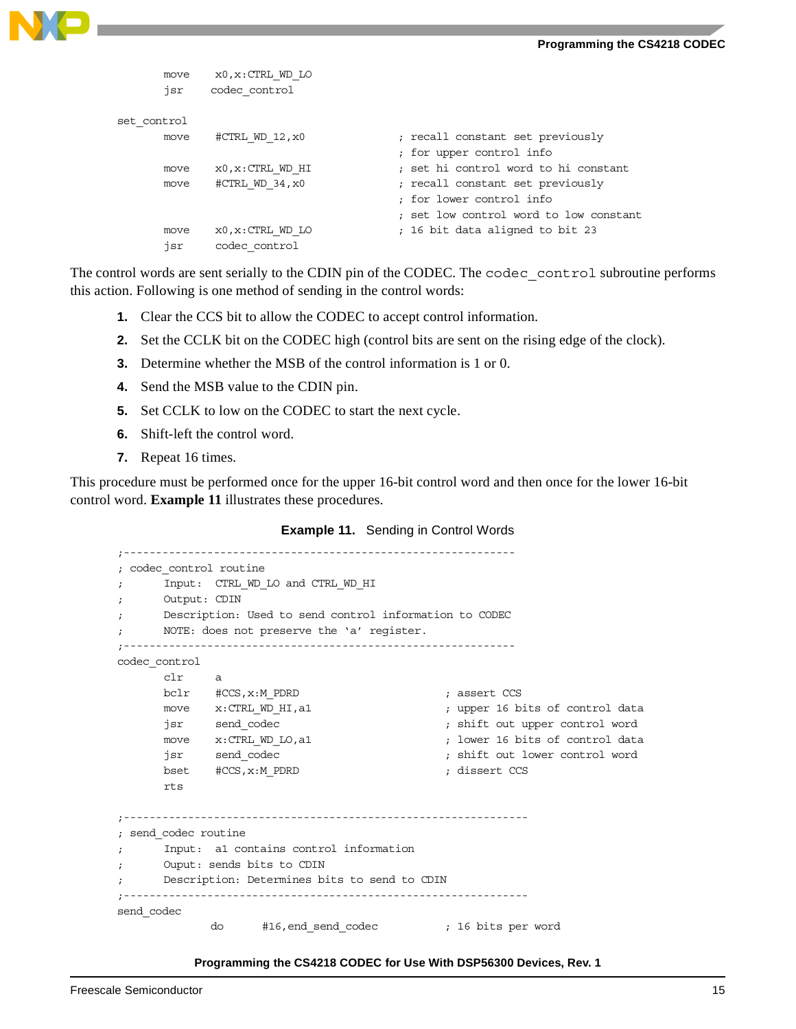

```
move x0, x: CTRL WD LO
      jsr codec_control
set_control
     move #CTRL WD 12,x0 ; recall constant set previously
                                     ; for upper control info
     move x0, x: CTRL WD HI ; set hi control word to hi constant
     move #CTRL WD 34, x0 ; recall constant set previously
                                     ; for lower control info
                                     ; set low control word to low constant
      move x0, x:CTRL WD LO ; 16 bit data aligned to bit 23
      jsr codec_control
```
The control words are sent serially to the CDIN pin of the CODEC. The codec control subroutine performs this action. Following is one method of sending in the control words:

- **1.** Clear the CCS bit to allow the CODEC to accept control information.
- **2.** Set the CCLK bit on the CODEC high (control bits are sent on the rising edge of the clock).
- **3.** Determine whether the MSB of the control information is 1 or 0.
- **4.** Send the MSB value to the CDIN pin.
- **5.** Set CCLK to low on the CODEC to start the next cycle.
- **6.** Shift-left the control word.
- **7.** Repeat 16 times.

<span id="page-14-0"></span>This procedure must be performed once for the upper 16-bit control word and then once for the lower 16-bit control word. **[Example 11](#page-14-0)** illustrates these procedures.

|  |  | <b>Example 11.</b> Sending in Control Words |
|--|--|---------------------------------------------|
|--|--|---------------------------------------------|

```
;-------------------------------------------------------------
; codec_control routine
; Input: CTRL_WD_LO and CTRL_WD_HI
; Output: CDIN
; Description: Used to send control information to CODEC
; NOTE: does not preserve the 'a' register.
;-------------------------------------------------------------
codec_control
     clr a
     bclr #CCS, x:M_PDRD ; assert CCS
     move x:CTRL_WD_HI,a1 ; upper 16 bits of control data
     jsr send_codec ; shift out upper control word
     move x:CTRL WD LO,a1 ; lower 16 bits of control data
      jsr send_codec ; shift out lower control word
     bset #CCS,x:M_PDRD ; dissert CCS
      rts
;---------------------------------------------------------------
; send_codec routine
; Input: a1 contains control information
; Ouput: sends bits to CDIN
     Description: Determines bits to send to CDIN
;---------------------------------------------------------------
send_codec 
            do #16,end_send_codec ; 16 bits per word
```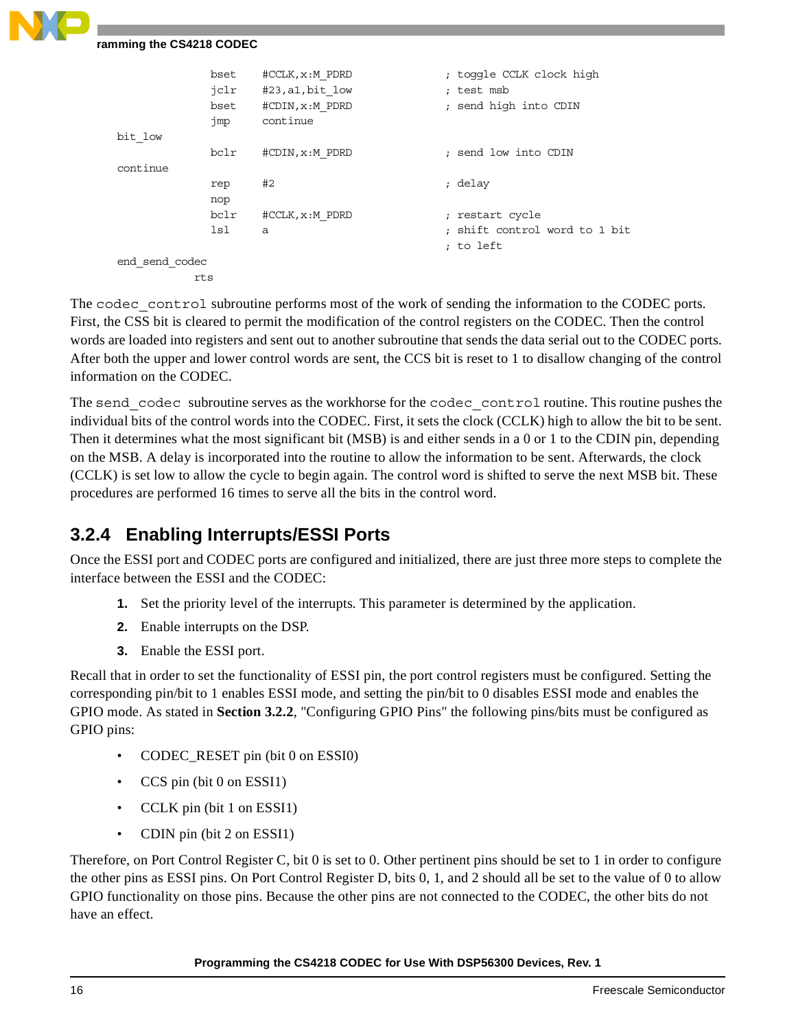|                | bset | #CCLK, x:M PDRD  | ; toggle CCLK clock high      |
|----------------|------|------------------|-------------------------------|
|                | jclr | #23, a1, bit low | ; test msb                    |
|                | bset | #CDIN, x:M PDRD  | ; send high into CDIN         |
|                | jmp  | continue         |                               |
| bit low        |      |                  |                               |
|                | bclr | #CDIN, x:M PDRD  | ; send low into CDIN          |
| continue       |      |                  |                               |
|                | rep  | #2               | ; delay                       |
|                | nop  |                  |                               |
|                | bclr | #CCLK, x:M PDRD  | ; restart cycle               |
|                | lsl  | a                | ; shift control word to 1 bit |
|                |      |                  | ; to left                     |
| end send codec |      |                  |                               |
|                | rts  |                  |                               |
|                |      |                  |                               |

The codec control subroutine performs most of the work of sending the information to the CODEC ports. First, the CSS bit is cleared to permit the modification of the control registers on the CODEC. Then the control words are loaded into registers and sent out to another subroutine that sends the data serial out to the CODEC ports. After both the upper and lower control words are sent, the CCS bit is reset to 1 to disallow changing of the control information on the CODEC.

The send codec subroutine serves as the workhorse for the codec control routine. This routine pushes the individual bits of the control words into the CODEC. First, it sets the clock (CCLK) high to allow the bit to be sent. Then it determines what the most significant bit (MSB) is and either sends in a 0 or 1 to the CDIN pin, depending on the MSB. A delay is incorporated into the routine to allow the information to be sent. Afterwards, the clock (CCLK) is set low to allow the cycle to begin again. The control word is shifted to serve the next MSB bit. These procedures are performed 16 times to serve all the bits in the control word.

### **3.2.4 Enabling Interrupts/ESSI Ports**

Once the ESSI port and CODEC ports are configured and initialized, there are just three more steps to complete the interface between the ESSI and the CODEC:

- **1.** Set the priority level of the interrupts. This parameter is determined by the application.
- **2.** Enable interrupts on the DSP.
- **3.** Enable the ESSI port.

Recall that in order to set the functionality of ESSI pin, the port control registers must be configured. Setting the corresponding pin/bit to 1 enables ESSI mode, and setting the pin/bit to 0 disables ESSI mode and enables the GPIO mode. As stated in **Section 3.2.2**[, "Configuring GPIO Pins"](#page-10-2) the following pins/bits must be configured as GPIO pins:

- CODEC\_RESET pin (bit 0 on ESSI0)
- CCS pin (bit 0 on ESSI1)
- CCLK pin (bit 1 on ESSI1)
- CDIN pin (bit 2 on ESSI1)

Therefore, on Port Control Register C, bit 0 is set to 0. Other pertinent pins should be set to 1 in order to configure the other pins as ESSI pins. On Port Control Register D, bits 0, 1, and 2 should all be set to the value of 0 to allow GPIO functionality on those pins. Because the other pins are not connected to the CODEC, the other bits do not have an effect.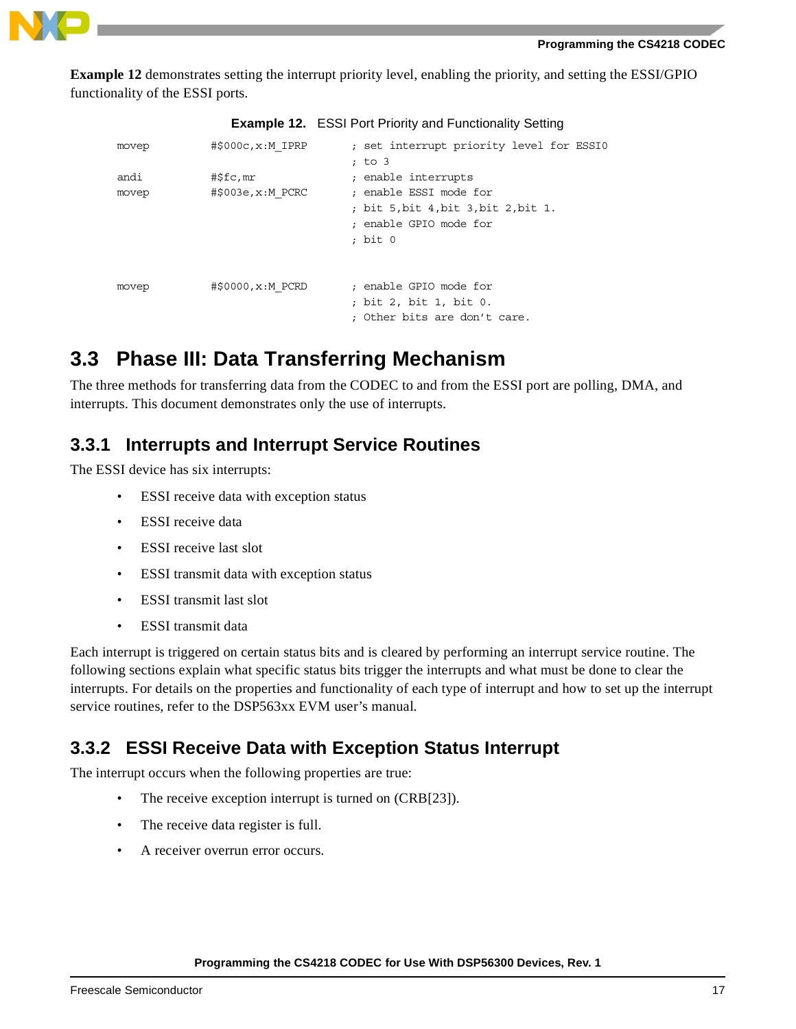

**[Example 12](#page-16-0)** demonstrates setting the interrupt priority level, enabling the priority, and setting the ESSI/GPIO functionality of the ESSI ports.

**Example 12.** ESSI Port Priority and Functionality Setting

<span id="page-16-0"></span>

|       |                                  | <b>Example 12.</b> ESSI PORT PHONG and Functionality Setting                                    |
|-------|----------------------------------|-------------------------------------------------------------------------------------------------|
| movep | $\sharp$ \$000 $c$ , $x$ : MIPRP | ; set interrupt priority level for ESSIO<br>; to 3                                              |
| andi  | #\$fc,mr                         | ; enable interrupts                                                                             |
| movep | $\#$ \$003e, $x:M$ PCRC          | : enable ESSI mode for<br>; bit 5,bit 4,bit 3,bit 2,bit 1.<br>: enable GPIO mode for<br>; bit 0 |
| movep | #\$0000, x: M PCRD               | : enable GPIO mode for<br>; bit 2, bit 1, bit 0.<br>; Other bits are don't care.                |

## **3.3 Phase III: Data Transferring Mechanism**

The three methods for transferring data from the CODEC to and from the ESSI port are polling, DMA, and interrupts. This document demonstrates only the use of interrupts.

### **3.3.1 Interrupts and Interrupt Service Routines**

The ESSI device has six interrupts:

- ESSI receive data with exception status
- ESSI receive data
- ESSI receive last slot
- ESSI transmit data with exception status
- ESSI transmit last slot
- ESSI transmit data

Each interrupt is triggered on certain status bits and is cleared by performing an interrupt service routine. The following sections explain what specific status bits trigger the interrupts and what must be done to clear the interrupts. For details on the properties and functionality of each type of interrupt and how to set up the interrupt service routines, refer to the DSP563xx EVM user's manual.

### **3.3.2 ESSI Receive Data with Exception Status Interrupt**

The interrupt occurs when the following properties are true:

- The receive exception interrupt is turned on (CRB[23]).
- The receive data register is full.
- A receiver overrun error occurs.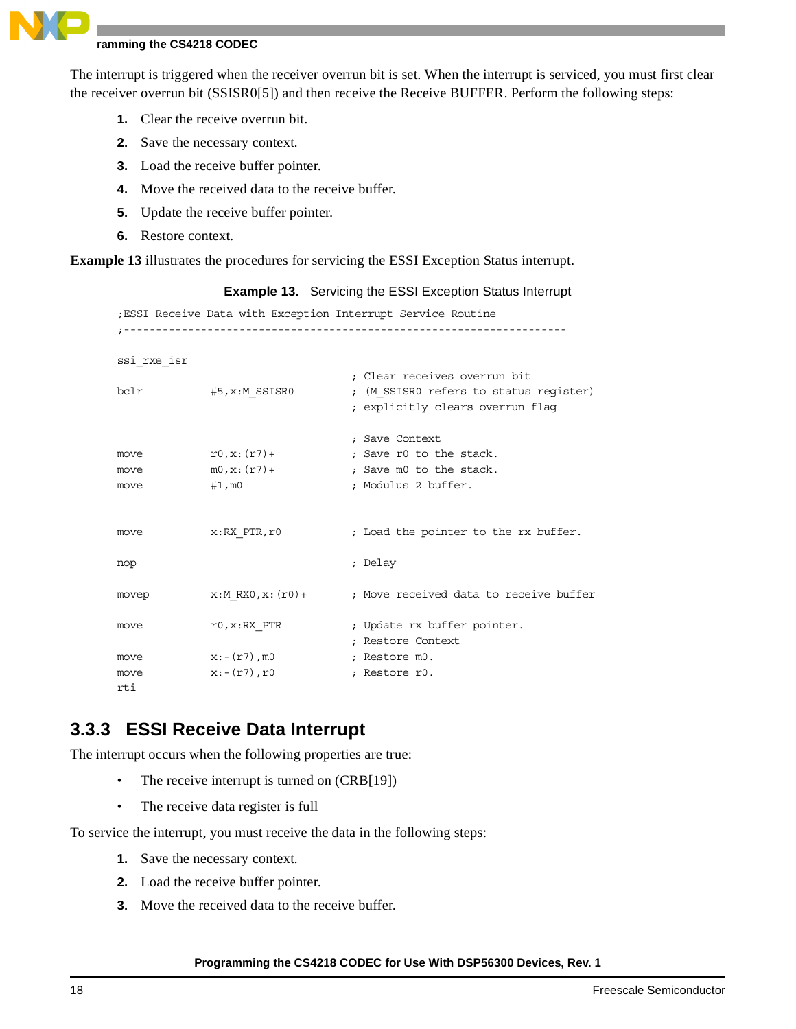The interrupt is triggered when the receiver overrun bit is set. When the interrupt is serviced, you must first clear the receiver overrun bit (SSISR0[5]) and then receive the Receive BUFFER. Perform the following steps:

- **1.** Clear the receive overrun bit.
- **2.** Save the necessary context.
- **3.** Load the receive buffer pointer.
- **4.** Move the received data to the receive buffer.
- **5.** Update the receive buffer pointer.
- **6.** Restore context.

<span id="page-17-0"></span>**[Example 13](#page-17-0)** illustrates the procedures for servicing the ESSI Exception Status interrupt.

| ; ESSI Receive Data with Exception Interrupt Service Routine |                   |                                        |  |  |  |  |
|--------------------------------------------------------------|-------------------|----------------------------------------|--|--|--|--|
|                                                              |                   |                                        |  |  |  |  |
|                                                              |                   |                                        |  |  |  |  |
| ssi rxe isr                                                  |                   |                                        |  |  |  |  |
|                                                              |                   | : Clear receives overrun bit           |  |  |  |  |
| bclr                                                         |                   |                                        |  |  |  |  |
|                                                              | #5,x:M SSISRO     | ; (M SSISRO refers to status register) |  |  |  |  |
|                                                              |                   | ; explicitly clears overrun flag       |  |  |  |  |
|                                                              |                   |                                        |  |  |  |  |
|                                                              |                   | ; Save Context                         |  |  |  |  |
| move                                                         | $r0, x: (r7) +$   | ; Save r0 to the stack.                |  |  |  |  |
| move                                                         | $m0, x: (r7) +$   | ; Save m0 to the stack.                |  |  |  |  |
| move                                                         | $#1$ , m $0$      | ; Modulus 2 buffer.                    |  |  |  |  |
|                                                              |                   |                                        |  |  |  |  |
|                                                              |                   |                                        |  |  |  |  |
| move                                                         | $x: RX$ PTR, $r0$ | ; Load the pointer to the rx buffer.   |  |  |  |  |
|                                                              |                   |                                        |  |  |  |  |
| nop                                                          |                   | ; Delay                                |  |  |  |  |
|                                                              |                   |                                        |  |  |  |  |
|                                                              |                   | ; Move received data to receive buffer |  |  |  |  |
| movep                                                        | x:M RX0,x:(r0)+   |                                        |  |  |  |  |
|                                                              |                   |                                        |  |  |  |  |
| move                                                         | $r0, x: RX$ PTR   | ; Update rx buffer pointer.            |  |  |  |  |
|                                                              |                   | ; Restore Context                      |  |  |  |  |
| move                                                         | $x:-(r7)$ , mO    | ; Restore m0.                          |  |  |  |  |
| move                                                         | $x:-(r7)$ , r0    | ; Restore r0.                          |  |  |  |  |
| rti                                                          |                   |                                        |  |  |  |  |

### **Example 13.** Servicing the ESSI Exception Status Interrupt

### **3.3.3 ESSI Receive Data Interrupt**

The interrupt occurs when the following properties are true:

- The receive interrupt is turned on (CRB[19])
- The receive data register is full

To service the interrupt, you must receive the data in the following steps:

- **1.** Save the necessary context.
- **2.** Load the receive buffer pointer.
- **3.** Move the received data to the receive buffer.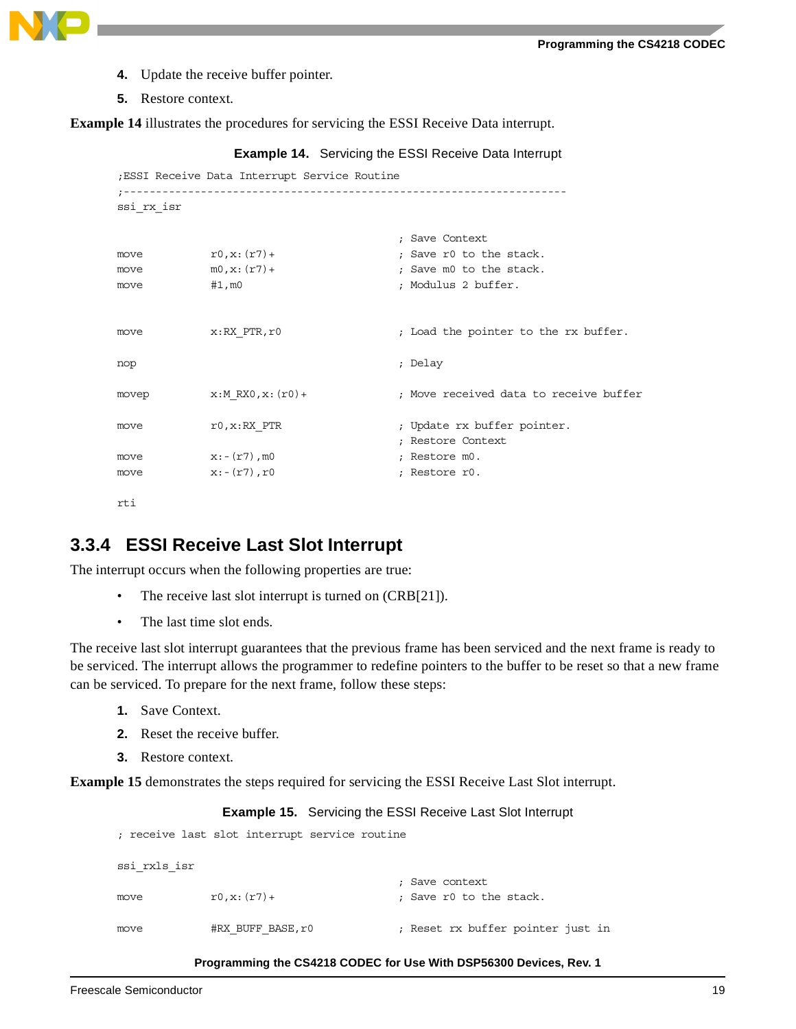

- **4.** Update the receive buffer pointer.
- **5.** Restore context.

<span id="page-18-0"></span>**[Example 14](#page-18-0)** illustrates the procedures for servicing the ESSI Receive Data interrupt.

```
Example 14. Servicing the ESSI Receive Data Interrupt
```

```
;ESSI Receive Data Interrupt Service Routine
;---------------------------------------------------------------------
ssi_rx_isr
                               ; Save Context
move r0, x: (r7) ; Save r0 to the stack.
move m0, x: (r7) ; Save m0 to the stack.
move #1, m0 ; Modulus 2 buffer.
move x: RX PTR,r0 ; Load the pointer to the rx buffer.
nop ; Delay 
movep x:M RX0, x:(r0)+ ; Move received data to receive buffer
move r0, x: RX PTR r0, r0, x: RX PTR r1, y2, z3, z4 in Update rx buffer pointer.
                                ; Restore Context
move x:-(r7), m0 ; Restore m0.
move x:-(r7), r0 ; Restore r0.
```
rti

### **3.3.4 ESSI Receive Last Slot Interrupt**

The interrupt occurs when the following properties are true:

- The receive last slot interrupt is turned on (CRB[21]).
- The last time slot ends.

The receive last slot interrupt guarantees that the previous frame has been serviced and the next frame is ready to be serviced. The interrupt allows the programmer to redefine pointers to the buffer to be reset so that a new frame can be serviced. To prepare for the next frame, follow these steps:

- **1.** Save Context.
- **2.** Reset the receive buffer.
- **3.** Restore context.

<span id="page-18-1"></span>**[Example 15](#page-18-1)** demonstrates the steps required for servicing the ESSI Receive Last Slot interrupt.

### **Example 15.** Servicing the ESSI Receive Last Slot Interrupt

; receive last slot interrupt service routine

```
ssi_rxls_isr
                                 ; Save context
move r0, x: (r7) ; Save r0 to the stack.
move #RX_BUFF_BASE,r0 ; Reset rx buffer pointer just in
```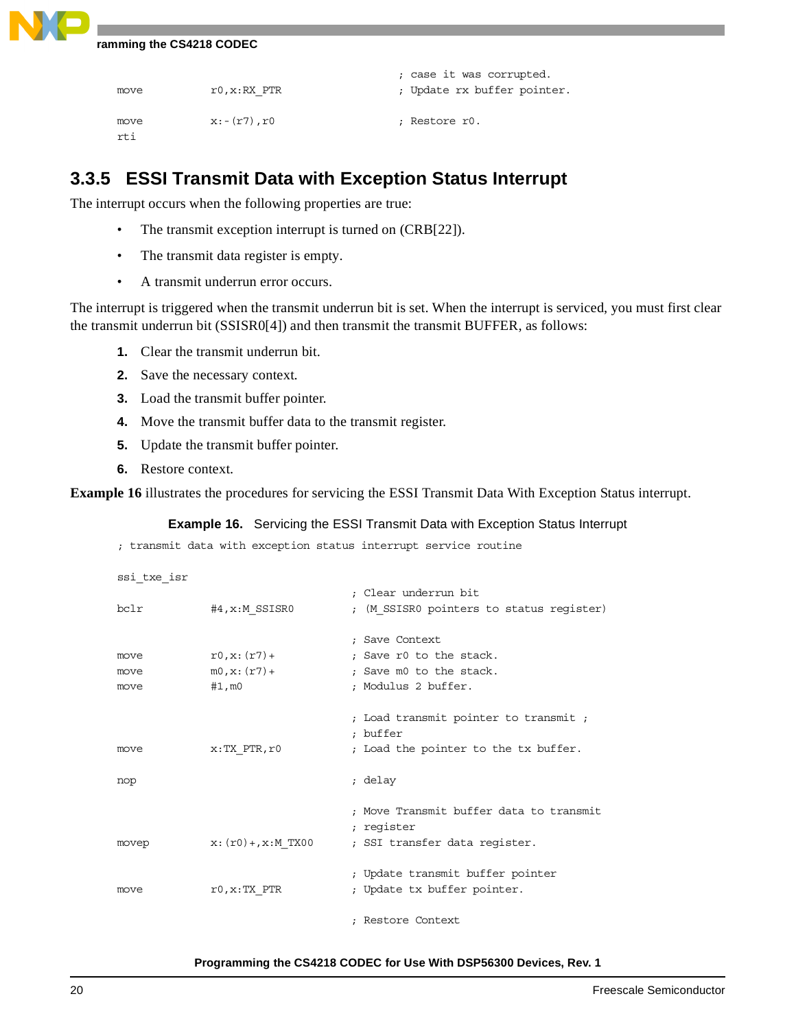```
; case it was corrupted.
move r0, x: RX PTR r0, r0, x: RX PTR r1, y2, z3, z4 in Update rx buffer pointer.
move x:-(r7),r0 ; Restore r0.
rti
```
### **3.3.5 ESSI Transmit Data with Exception Status Interrupt**

The interrupt occurs when the following properties are true:

- The transmit exception interrupt is turned on (CRB[22]).
- The transmit data register is empty.
- A transmit underrun error occurs.

The interrupt is triggered when the transmit underrun bit is set. When the interrupt is serviced, you must first clear the transmit underrun bit (SSISR0[4]) and then transmit the transmit BUFFER, as follows:

- **1.** Clear the transmit underrun bit.
- **2.** Save the necessary context.
- **3.** Load the transmit buffer pointer.
- **4.** Move the transmit buffer data to the transmit register.
- **5.** Update the transmit buffer pointer.
- **6.** Restore context.

<span id="page-19-0"></span>**[Example 16](#page-19-0)** illustrates the procedures for servicing the ESSI Transmit Data With Exception Status interrupt.

**Example 16.** Servicing the ESSI Transmit Data with Exception Status Interrupt

; transmit data with exception status interrupt service routine

```
ssi_txe_isr
                            ; Clear underrun bit
bclr #4, x:M SSISR0 ; (M SSISR0 pointers to status register)
                            ; Save Context
move r0, x: (r7)+ ; Save r0 to the stack.
move m0, x: (r7)+ ; Save m0 to the stack.
move #1, m0 ; Modulus 2 buffer.
                            ; Load transmit pointer to transmit ; 
                            ; buffer
move x:TX PTR,r0 ; Load the pointer to the tx buffer.
nop ; delay
                            ; Move Transmit buffer data to transmit 
                            ; register
movep x: (r0) +, x:M TX00 ; SSI transfer data register.
                            ; Update transmit buffer pointer
move r0, x: TX PTR ; Update tx buffer pointer.
                            ; Restore Context
```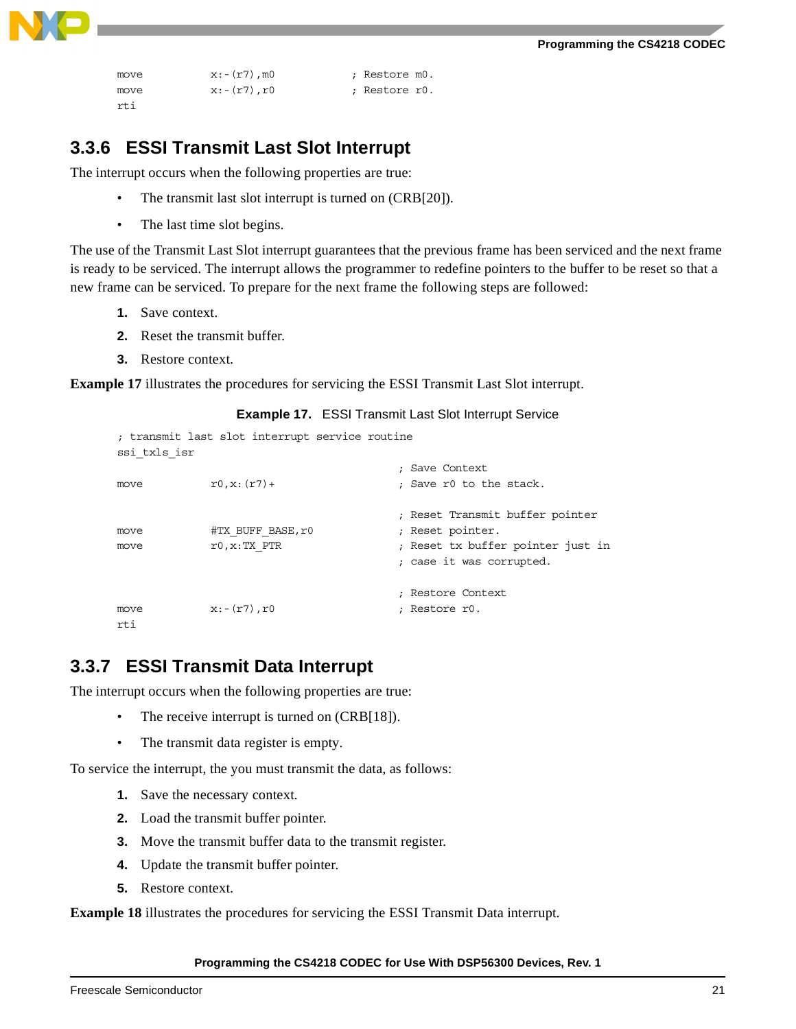

```
move x:-(r7), m0 ; Restore m0.
move x:-(r7),r0 ; Restore r0.
rti
```
### **3.3.6 ESSI Transmit Last Slot Interrupt**

The interrupt occurs when the following properties are true:

- The transmit last slot interrupt is turned on (CRB[20]).
- The last time slot begins.

The use of the Transmit Last Slot interrupt guarantees that the previous frame has been serviced and the next frame is ready to be serviced. The interrupt allows the programmer to redefine pointers to the buffer to be reset so that a new frame can be serviced. To prepare for the next frame the following steps are followed:

- **1.** Save context.
- **2.** Reset the transmit buffer.
- **3.** Restore context.

<span id="page-20-0"></span>**[Example 17](#page-20-0)** illustrates the procedures for servicing the ESSI Transmit Last Slot interrupt.

```
Example 17. ESSI Transmit Last Slot Interrupt Service
; transmit last slot interrupt service routine
ssi_txls_isr
                                     ; Save Context
move r0, x: (r7) ; Save r0 to the stack.
                                     ; Reset Transmit buffer pointer
move #TX_BUFF_BASE,r0 ; Reset pointer.
move r0, x: TX PTR \qquad ; Reset tx buffer pointer just in
                                     ; case it was corrupted.
```
; Restore Context

move  $x:-(r7),r0$  ; Restore r0. rti

### **3.3.7 ESSI Transmit Data Interrupt**

The interrupt occurs when the following properties are true:

- The receive interrupt is turned on (CRB[18]).
- The transmit data register is empty.

To service the interrupt, the you must transmit the data, as follows:

- **1.** Save the necessary context.
- **2.** Load the transmit buffer pointer.
- **3.** Move the transmit buffer data to the transmit register.
- **4.** Update the transmit buffer pointer.
- **5.** Restore context.

**[Example 18](#page-21-0)** illustrates the procedures for servicing the ESSI Transmit Data interrupt.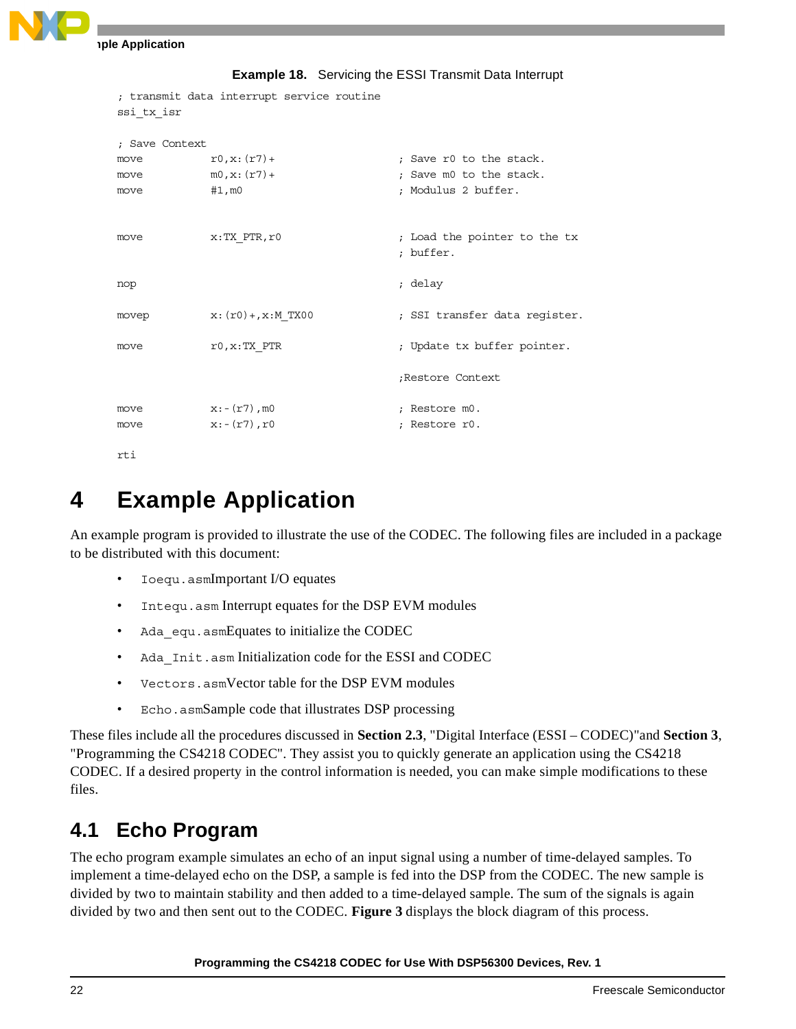```
Example Application
```

```
Example 18. Servicing the ESSI Transmit Data Interrupt
```

```
; transmit data interrupt service routine
ssi_tx_isr
; Save Context
move r0, x: (r7) + r2, x: (r7) ; Save r0 to the stack.
move m0, x: (T7) ; Save m0 to the stack.
move #1, m0 ; Modulus 2 buffer.
move x:TX\_PTR,r0 ; Load the pointer to the tx
                              ; buffer.
nop ; delay
movep x: (r0) + r x : M_T X00 ; SSI transfer data register.
move r0, x:TX PTR \qquad \qquad ; Update tx buffer pointer.
                              ;Restore Context
move x:-(r7), m0 ; Restore m0.
move x:-(r7),r0 ; Restore r0.
```
rti

## **4 Example Application**

An example program is provided to illustrate the use of the CODEC. The following files are included in a package to be distributed with this document:

- Ioequ.asmImportant I/O equates
- Intequ.asm Interrupt equates for the DSP EVM modules
- Ada equ.asmEquates to initialize the CODEC
- Ada\_Init.asm Initialization code for the ESSI and CODEC
- Vectors.asmVector table for the DSP EVM modules
- Echo.asmSample code that illustrates DSP processing

These files include all the procedures discussed in **Section 2.3**[, "Digital Interface \(ESSI – CODEC\)"](#page-3-2)and **[Section 3](#page-5-1)**, ["Programming the CS4218 CODEC".](#page-5-1) They assist you to quickly generate an application using the CS4218 CODEC. If a desired property in the control information is needed, you can make simple modifications to these files.

## **4.1 Echo Program**

The echo program example simulates an echo of an input signal using a number of time-delayed samples. To implement a time-delayed echo on the DSP, a sample is fed into the DSP from the CODEC. The new sample is divided by two to maintain stability and then added to a time-delayed sample. The sum of the signals is again divided by two and then sent out to the CODEC. **[Figure 3](#page-22-0)** displays the block diagram of this process.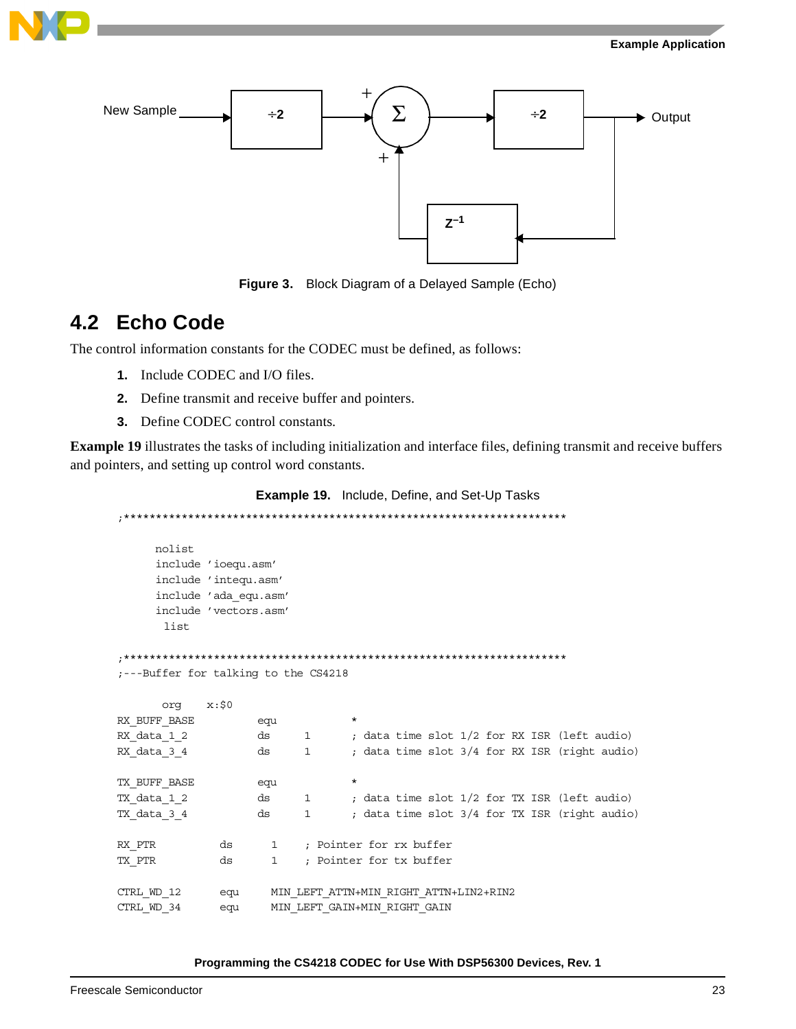



**Figure 3.** Block Diagram of a Delayed Sample (Echo)

### <span id="page-22-0"></span>**4.2 Echo Code**

The control information constants for the CODEC must be defined, as follows:

- **1.** Include CODEC and I/O files.
- **2.** Define transmit and receive buffer and pointers.
- **3.** Define CODEC control constants.

<span id="page-22-1"></span>**[Example 19](#page-22-1)** illustrates the tasks of including initialization and interface files, defining transmit and receive buffers and pointers, and setting up control word constants.

```
Example 19. Include, Define, and Set-Up Tasks
```

```
;*********************************************************************
     nolist
     include 'ioequ.asm'
     include 'intequ.asm'
     include 'ada_equ.asm'
      include 'vectors.asm' 
      list
;*********************************************************************
;---Buffer for talking to the CS4218
      org x:$0
RX_BUFF_BASE equ *
RX_data_1_2 ds 1 ; data time slot 1/2 for RX ISR (left audio)
RX_data_3_4 ds 1 ; data time slot 3/4 for RX ISR (right audio)
TX_BUFF_BASE equ *
TX_data_1_2 ds 1 ; data time slot 1/2 for TX ISR (left audio)
TX_data_3_4 ds 1 ; data time slot 3/4 for TX ISR (right audio)
RX_PTR ds 1 ; Pointer for rx buffer
TX PTR ds 1 ; Pointer for tx buffer
CTRL_WD_12 equ MIN_LEFT_ATTN+MIN_RIGHT_ATTN+LIN2+RIN2
CTRL_WD_34 equ MIN_LEFT_GAIN+MIN_RIGHT_GAIN
```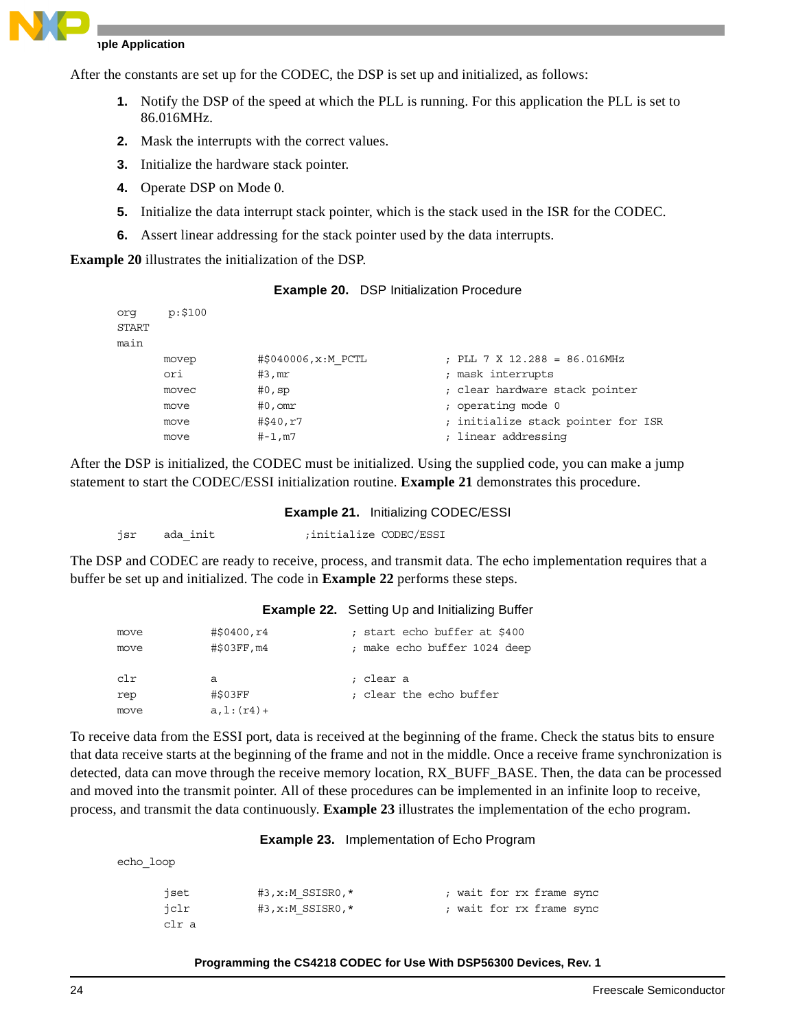

### **Example Application**

After the constants are set up for the CODEC, the DSP is set up and initialized, as follows:

- **1.** Notify the DSP of the speed at which the PLL is running. For this application the PLL is set to 86.016MHz.
- **2.** Mask the interrupts with the correct values.
- **3.** Initialize the hardware stack pointer.
- **4.** Operate DSP on Mode 0.
- **5.** Initialize the data interrupt stack pointer, which is the stack used in the ISR for the CODEC.
- **6.** Assert linear addressing for the stack pointer used by the data interrupts.

<span id="page-23-0"></span>**[Example 20](#page-23-0)** illustrates the initialization of the DSP.

| <b>Example 20.</b> DSP Initialization Procedure |
|-------------------------------------------------|
|                                                 |

| org   | p: \$100 |                      |                                    |
|-------|----------|----------------------|------------------------------------|
| START |          |                      |                                    |
| main  |          |                      |                                    |
|       | movep    | #\$040006, x: M PCTL | ; PLL 7 X 12.288 = 86.016MHz       |
|       | ori      | #3,mr                | mask interrupts                    |
|       | movec    | #0, sp               | ; clear hardware stack pointer     |
|       | move     | $#0$ , om $r$        | ; operating mode 0                 |
|       | move     | #\$40,r7             | ; initialize stack pointer for ISR |
|       | move     | #-1,m7               | ; linear addressing                |

<span id="page-23-1"></span>After the DSP is initialized, the CODEC must be initialized. Using the supplied code, you can make a jump statement to start the CODEC/ESSI initialization routine. **[Example 21](#page-23-1)** demonstrates this procedure.

### **Example 21.** Initializing CODEC/ESSI

```
jsr ada init ;initialize CODEC/ESSI
```
<span id="page-23-2"></span>The DSP and CODEC are ready to receive, process, and transmit data. The echo implementation requires that a buffer be set up and initialized. The code in **[Example 22](#page-23-2)** performs these steps.

### **Example 22.** Setting Up and Initializing Buffer

| move<br>move | #\$0400,r4<br>#\$03FF, m4 | ; start echo buffer at \$400<br>; make echo buffer 1024 deep |
|--------------|---------------------------|--------------------------------------------------------------|
| clr          | a                         | ; clear a                                                    |
| rep          | #\$03FF                   | ; clear the echo buffer                                      |
| move         | $a, l: (r4) +$            |                                                              |

To receive data from the ESSI port, data is received at the beginning of the frame. Check the status bits to ensure that data receive starts at the beginning of the frame and not in the middle. Once a receive frame synchronization is detected, data can move through the receive memory location, RX\_BUFF\_BASE. Then, the data can be processed and moved into the transmit pointer. All of these procedures can be implemented in an infinite loop to receive, process, and transmit the data continuously. **[Example 23](#page-23-3)** illustrates the implementation of the echo program.

**Example 23.** Implementation of Echo Program

<span id="page-23-3"></span>echo\_loop

| iset  | $#3, x: M$ SSISR0, $*$ |  |  | ; wait for rx frame sync |  |
|-------|------------------------|--|--|--------------------------|--|
| iclr  | $#3, x: M$ SSISR0, $*$ |  |  | ; wait for rx frame sync |  |
| clr a |                        |  |  |                          |  |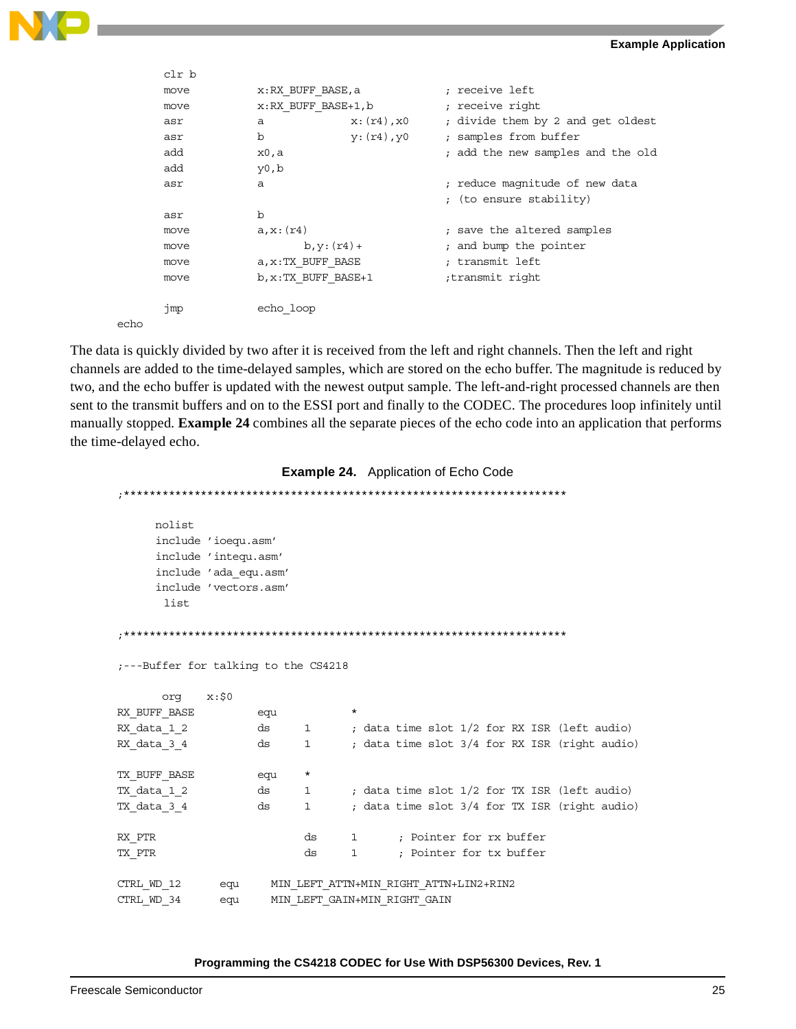



|      | clr b |                      |                  |                 |                                   |
|------|-------|----------------------|------------------|-----------------|-----------------------------------|
|      | move  | x:RX BUFF BASE,a     |                  | ; receive left  |                                   |
|      | move  | x:RX BUFF BASE+1,b   |                  | ; receive right |                                   |
|      | asr   | а                    | $x: (r4)$ , $x0$ |                 | ; divide them by 2 and get oldest |
|      | asr   | b                    | y: (r4), y0      |                 | ; samples from buffer             |
|      | add   | x0,a                 |                  |                 | ; add the new samples and the old |
|      | add   | y0,b                 |                  |                 |                                   |
|      | asr   | $\mathsf{a}$         |                  |                 | ; reduce magnitude of new data    |
|      |       |                      |                  |                 | ; (to ensure stability)           |
|      | asr   | $\mathbf b$          |                  |                 |                                   |
|      | move  | a, x: (r4)           |                  |                 | ; save the altered samples        |
|      | move  | $b, y: (r4) +$       |                  |                 | ; and bump the pointer            |
|      | move  | a, x: TX BUFF BASE   |                  | ; transmit left |                                   |
|      | move  | b, x: TX BUFF BASE+1 |                  | transmit right; |                                   |
|      |       |                      |                  |                 |                                   |
|      | jmp   | echo loop            |                  |                 |                                   |
| echo |       |                      |                  |                 |                                   |

The data is quickly divided by two after it is received from the left and right channels. Then the left and right channels are added to the time-delayed samples, which are stored on the echo buffer. The magnitude is reduced by two, and the echo buffer is updated with the newest output sample. The left-and-right processed channels are then sent to the transmit buffers and on to the ESSI port and finally to the CODEC. The procedures loop infinitely until manually stopped. **[Example 24](#page-24-0)** combines all the separate pieces of the echo code into an application that performs the time-delayed echo.

#### **Example 24.** Application of Echo Code

<span id="page-24-0"></span>;\*\*\*\*\*\*\*\*\*\*\*\*\*\*\*\*\*\*\*\*\*\*\*\*\*\*\*\*\*\*\*\*\*\*\*\*\*\*\*\*\*\*\*\*\*\*\*\*\*\*\*\*\*\*\*\*\*\*\*\*\*\*\*\*\*\*\*\*\* nolist include 'ioequ.asm' include 'intequ.asm' include 'ada\_equ.asm' include 'vectors.asm' list ;\*\*\*\*\*\*\*\*\*\*\*\*\*\*\*\*\*\*\*\*\*\*\*\*\*\*\*\*\*\*\*\*\*\*\*\*\*\*\*\*\*\*\*\*\*\*\*\*\*\*\*\*\*\*\*\*\*\*\*\*\*\*\*\*\*\*\*\*\* ;---Buffer for talking to the CS4218 org x:\$0 RX\_BUFF\_BASE equ RX\_data\_1\_2 ds 1 ; data time slot 1/2 for RX ISR (left audio) RX\_data\_3\_4 ds 1 ; data time slot 3/4 for RX ISR (right audio) TX\_BUFF\_BASE equ \* TX\_data\_1\_2 ds 1 ; data time slot 1/2 for TX ISR (left audio) TX\_data\_3\_4 ds 1 ; data time slot 3/4 for TX ISR (right audio) RX PTR ds 1 ; Pointer for rx buffer TX PTR ds 1 ; Pointer for tx buffer CTRL\_WD\_12 equ MIN\_LEFT\_ATTN+MIN\_RIGHT\_ATTN+LIN2+RIN2 CTRL\_WD\_34 equ MIN\_LEFT\_GAIN+MIN\_RIGHT\_GAIN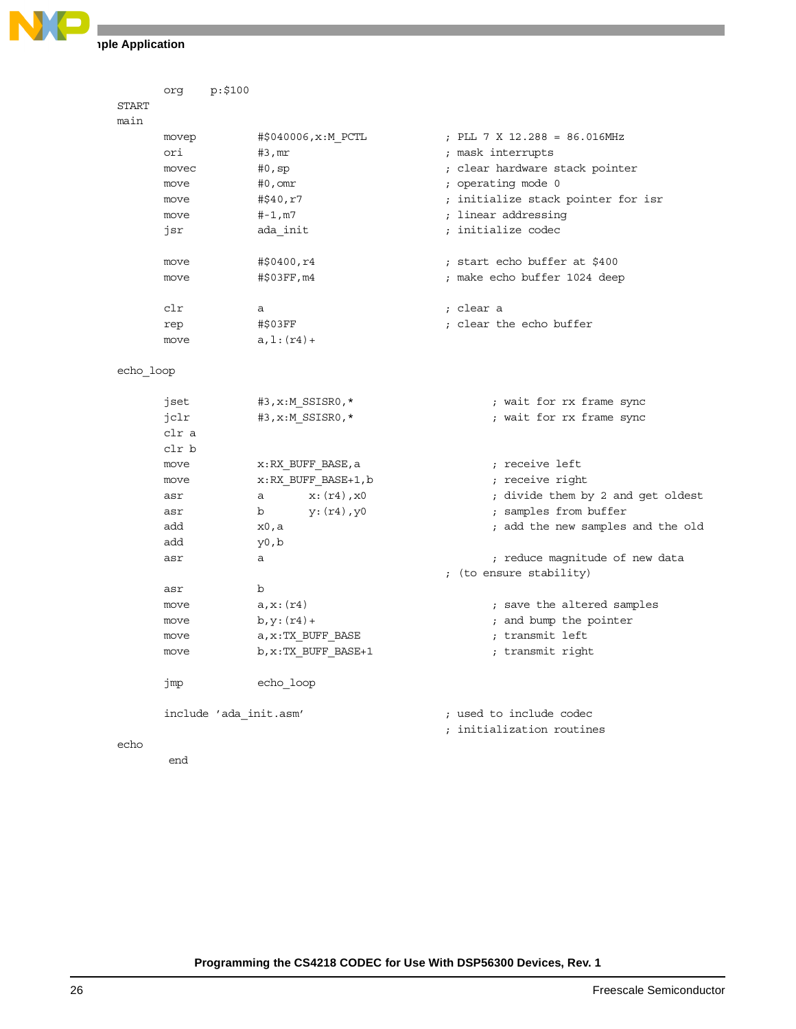

**Iple Application** 

|              | org   | p: \$100               |                |                      |                                    |
|--------------|-------|------------------------|----------------|----------------------|------------------------------------|
| <b>START</b> |       |                        |                |                      |                                    |
| main         |       |                        |                |                      |                                    |
|              | movep |                        |                | #\$040006, x: M_PCTL | ; PLL 7 X 12.288 = 86.016MHz       |
|              | ori   |                        | $#3$ , m $r$   |                      | ; mask interrupts                  |
|              | movec |                        | #0, sp         |                      | ; clear hardware stack pointer     |
|              | move  |                        | $#0$ , omr     |                      | ; operating mode 0                 |
|              | move  |                        | #\$40,r7       |                      | ; initialize stack pointer for isr |
|              | move  |                        | $# - 1, m7$    |                      | ; linear addressing                |
|              | jsr   |                        | ada_init       |                      | ; initialize codec                 |
|              |       |                        |                |                      |                                    |
|              | move  |                        | #\$0400,r4     |                      | ; start echo buffer at \$400       |
|              | move  |                        | #\$03FF, m4    |                      | ; make echo buffer 1024 deep       |
|              | clr   |                        | а              |                      | ; clear a                          |
|              | rep   |                        | #\$03FF        |                      | ; clear the echo buffer            |
|              | move  |                        | $a, 1: (r4) +$ |                      |                                    |
|              |       |                        |                |                      |                                    |
| echo loop    |       |                        |                |                      |                                    |
|              | jset  |                        |                | #3, x:M_SSISR0, *    | ; wait for rx frame sync           |
|              | jclr  |                        |                | #3, x:M_SSISR0, *    | ; wait for rx frame sync           |
|              | clr a |                        |                |                      |                                    |
|              | clr b |                        |                |                      |                                    |
|              | move  |                        |                | x:RX_BUFF_BASE, a    | ; receive left                     |
|              | move  |                        |                | x:RX BUFF BASE+1, b  | ; receive right                    |
|              | asr   |                        | a              | $x: (r4)$ , $x0$     | ; divide them by 2 and get oldest  |
|              | asr   |                        | b              | $y: (r4)$ , $y0$     | ; samples from buffer              |
|              | add   |                        | x0,a           |                      | ; add the new samples and the old  |
|              | add   |                        | y0,b           |                      |                                    |
|              | asr   |                        | a              |                      | ; reduce magnitude of new data     |
|              |       |                        |                |                      | ; (to ensure stability)            |
|              | asr   |                        | b              |                      |                                    |
|              | move  |                        | a, x: (r4)     |                      | ; save the altered samples         |
|              | move  |                        | $b, y: (r4) +$ |                      | ; and bump the pointer             |
|              | move  |                        |                | a, x: TX BUFF BASE   | transmit left                      |
|              | move  |                        |                | b, x: TX_BUFF_BASE+1 | ; transmit right                   |
|              |       |                        |                |                      |                                    |
|              | jmp   |                        | echo loop      |                      |                                    |
|              |       | include 'ada init.asm' |                |                      | ; used to include codec            |
|              |       |                        |                |                      | ; initialization routines          |
| echo         |       |                        |                |                      |                                    |
|              | end   |                        |                |                      |                                    |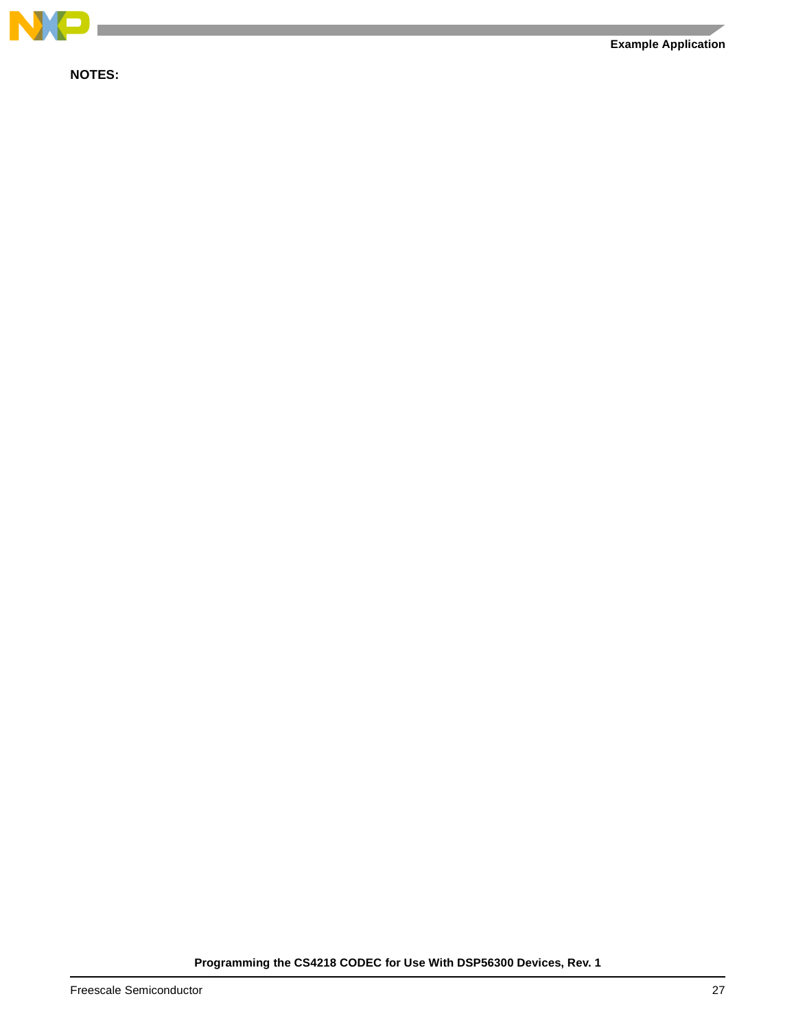

**NOTES:**